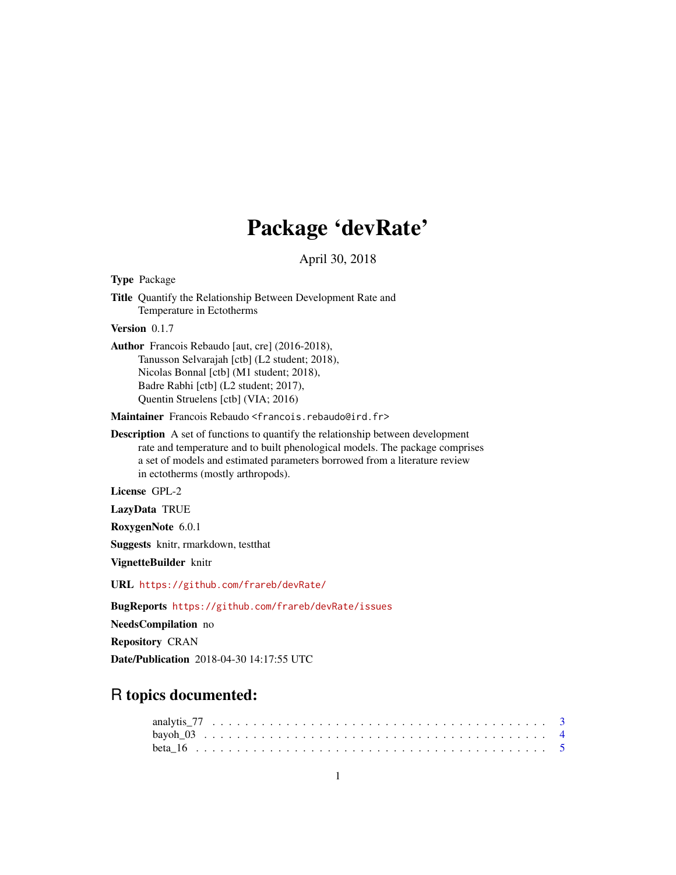# Package 'devRate'

April 30, 2018

<span id="page-0-0"></span>Type Package Title Quantify the Relationship Between Development Rate and Temperature in Ectotherms Version 0.1.7 Author Francois Rebaudo [aut, cre] (2016-2018), Tanusson Selvarajah [ctb] (L2 student; 2018), Nicolas Bonnal [ctb] (M1 student; 2018), Badre Rabhi [ctb] (L2 student; 2017), Quentin Struelens [ctb] (VIA; 2016)

Maintainer Francois Rebaudo <francois.rebaudo@ird.fr>

Description A set of functions to quantify the relationship between development rate and temperature and to built phenological models. The package comprises a set of models and estimated parameters borrowed from a literature review in ectotherms (mostly arthropods).

License GPL-2

LazyData TRUE

RoxygenNote 6.0.1

Suggests knitr, rmarkdown, testthat

VignetteBuilder knitr

URL <https://github.com/frareb/devRate/>

BugReports <https://github.com/frareb/devRate/issues>

NeedsCompilation no

Repository CRAN

Date/Publication 2018-04-30 14:17:55 UTC

# R topics documented: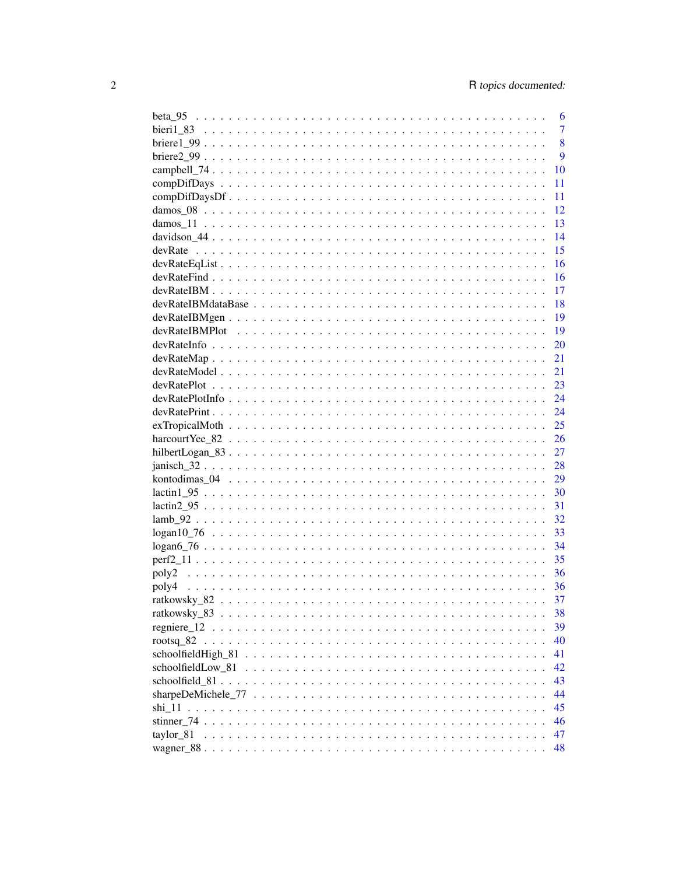|                                                                                                                     | 6              |
|---------------------------------------------------------------------------------------------------------------------|----------------|
|                                                                                                                     | $\overline{7}$ |
|                                                                                                                     | 8              |
|                                                                                                                     | 9              |
|                                                                                                                     | 10             |
|                                                                                                                     | 11             |
|                                                                                                                     | 11             |
|                                                                                                                     | 12             |
|                                                                                                                     | 13             |
|                                                                                                                     | 14             |
|                                                                                                                     | 15             |
|                                                                                                                     | 16             |
|                                                                                                                     | 16             |
|                                                                                                                     | 17             |
|                                                                                                                     | 18             |
|                                                                                                                     | 19             |
|                                                                                                                     | 19             |
|                                                                                                                     | 20             |
| $devRateMap \dots \dots \dots \dots \dots \dots \dots \dots \dots \dots \dots \dots \dots \dots \dots \dots \dots$  | 21             |
|                                                                                                                     | 21             |
| $devRatePlot \dots \dots \dots \dots \dots \dots \dots \dots \dots \dots \dots \dots \dots \dots \dots \dots \dots$ | - 23           |
|                                                                                                                     |                |
|                                                                                                                     |                |
|                                                                                                                     |                |
|                                                                                                                     |                |
|                                                                                                                     |                |
|                                                                                                                     |                |
|                                                                                                                     |                |
|                                                                                                                     |                |
| $lactin2_95$                                                                                                        |                |
|                                                                                                                     |                |
|                                                                                                                     |                |
|                                                                                                                     |                |
|                                                                                                                     | -35            |
|                                                                                                                     | - 36           |
| poly4                                                                                                               |                |
|                                                                                                                     |                |
|                                                                                                                     | 38             |
|                                                                                                                     | 39             |
|                                                                                                                     | 40             |
|                                                                                                                     | 41             |
|                                                                                                                     | 42             |
|                                                                                                                     | 43             |
|                                                                                                                     | 44             |
|                                                                                                                     | 45             |
|                                                                                                                     | 46             |
| taylor 81                                                                                                           | 47             |
|                                                                                                                     | 48             |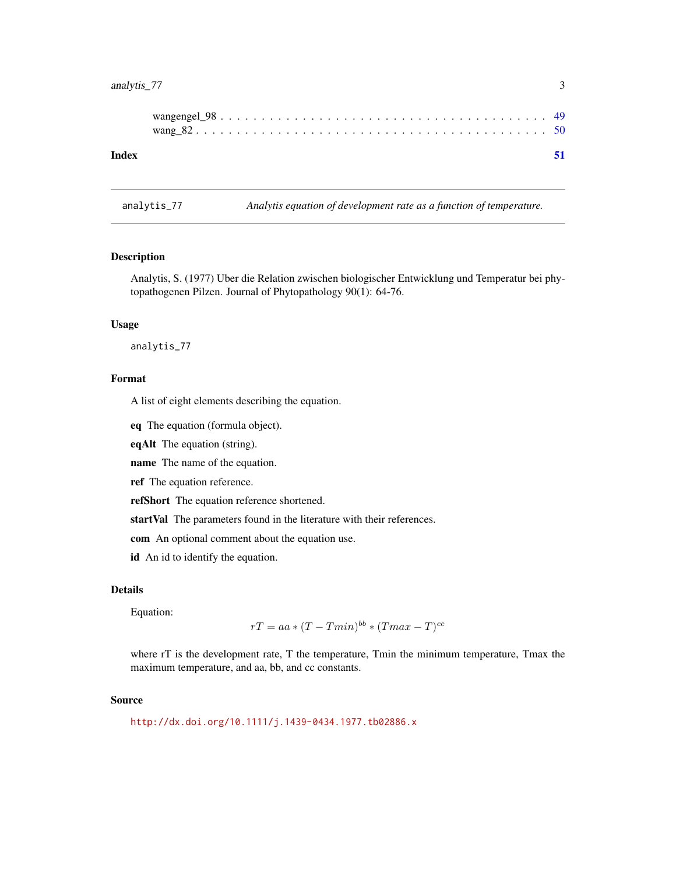# <span id="page-2-0"></span>analytis\_77 3

| Index |  |  |  |  |  |  |  |  |  |  |  |  |  |  |  |  |  |  |
|-------|--|--|--|--|--|--|--|--|--|--|--|--|--|--|--|--|--|--|

# Description

Analytis, S. (1977) Uber die Relation zwischen biologischer Entwicklung und Temperatur bei phytopathogenen Pilzen. Journal of Phytopathology 90(1): 64-76.

analytis\_77 *Analytis equation of development rate as a function of temperature.*

#### Usage

analytis\_77

## Format

A list of eight elements describing the equation.

eq The equation (formula object).

eqAlt The equation (string).

name The name of the equation.

ref The equation reference.

refShort The equation reference shortened.

startVal The parameters found in the literature with their references.

com An optional comment about the equation use.

id An id to identify the equation.

## Details

Equation:

$$
rT = aa * (T - Tmin)^{bb} * (Tmax - T)^{cc}
$$

where rT is the development rate, T the temperature, Tmin the minimum temperature, Tmax the maximum temperature, and aa, bb, and cc constants.

#### Source

<http://dx.doi.org/10.1111/j.1439-0434.1977.tb02886.x>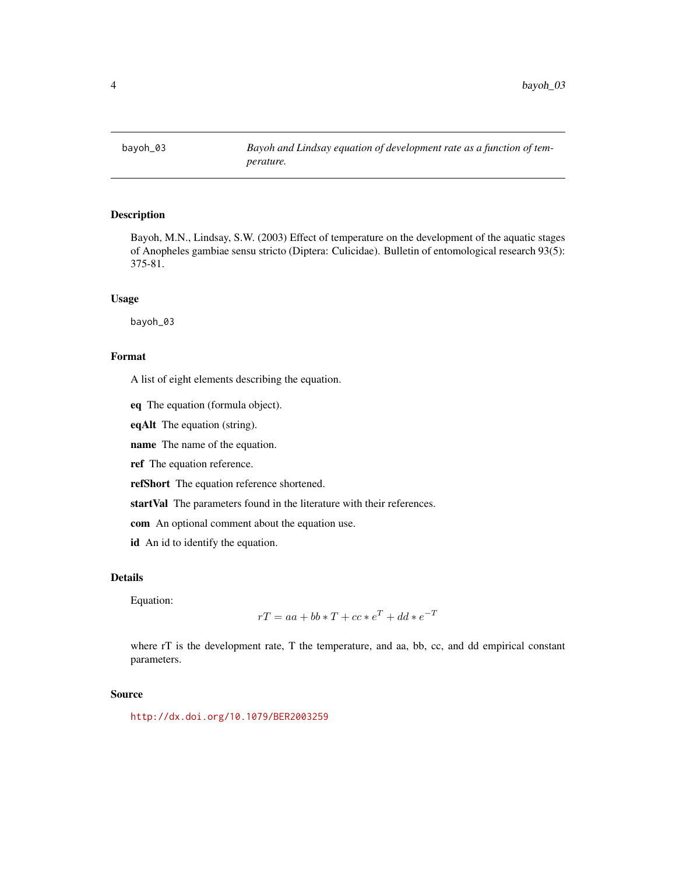<span id="page-3-0"></span>

Bayoh, M.N., Lindsay, S.W. (2003) Effect of temperature on the development of the aquatic stages of Anopheles gambiae sensu stricto (Diptera: Culicidae). Bulletin of entomological research 93(5): 375-81.

## Usage

bayoh\_03

## Format

A list of eight elements describing the equation.

eq The equation (formula object).

eqAlt The equation (string).

name The name of the equation.

ref The equation reference.

refShort The equation reference shortened.

startVal The parameters found in the literature with their references.

com An optional comment about the equation use.

id An id to identify the equation.

## Details

Equation:

$$
rT = aa + bb * T + cc * e^T + dd * e^{-T}
$$

where rT is the development rate, T the temperature, and aa, bb, cc, and dd empirical constant parameters.

#### Source

<http://dx.doi.org/10.1079/BER2003259>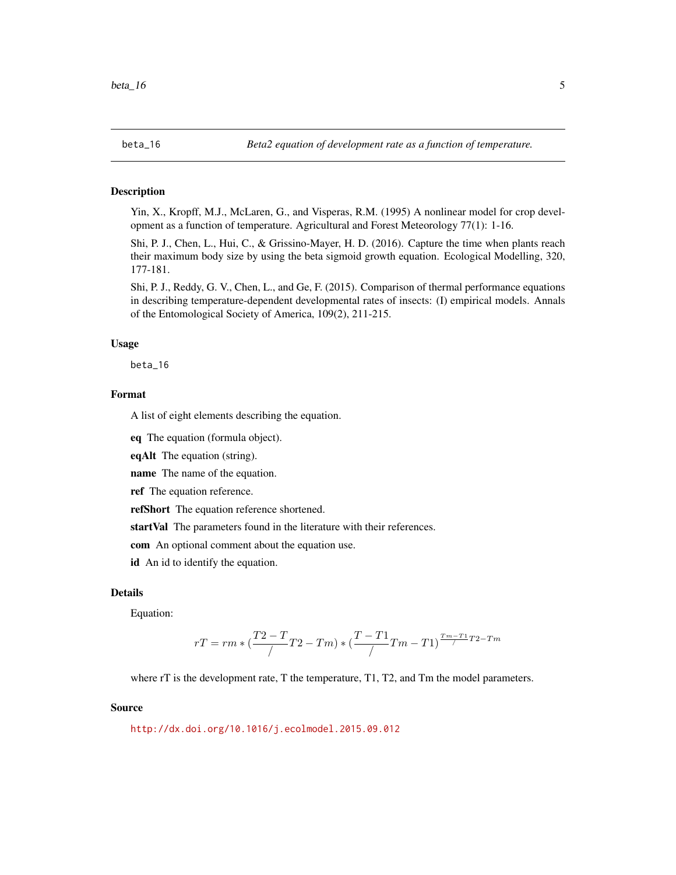<span id="page-4-0"></span>

Yin, X., Kropff, M.J., McLaren, G., and Visperas, R.M. (1995) A nonlinear model for crop development as a function of temperature. Agricultural and Forest Meteorology 77(1): 1-16.

Shi, P. J., Chen, L., Hui, C., & Grissino-Mayer, H. D. (2016). Capture the time when plants reach their maximum body size by using the beta sigmoid growth equation. Ecological Modelling, 320, 177-181.

Shi, P. J., Reddy, G. V., Chen, L., and Ge, F. (2015). Comparison of thermal performance equations in describing temperature-dependent developmental rates of insects: (I) empirical models. Annals of the Entomological Society of America, 109(2), 211-215.

#### Usage

beta\_16

# Format

A list of eight elements describing the equation.

eq The equation (formula object).

eqAlt The equation (string).

name The name of the equation.

ref The equation reference.

refShort The equation reference shortened.

startVal The parameters found in the literature with their references.

com An optional comment about the equation use.

id An id to identify the equation.

# Details

Equation:

$$
rT = rm * (\frac{T2 - T}{\sqrt{T}} - Tm) * (\frac{T - T1}{\sqrt{T}} - T1)^{\frac{Tm - T1}{\sqrt{T}}T2 - Tm}
$$

where rT is the development rate, T the temperature, T1, T2, and Tm the model parameters.

#### Source

<http://dx.doi.org/10.1016/j.ecolmodel.2015.09.012>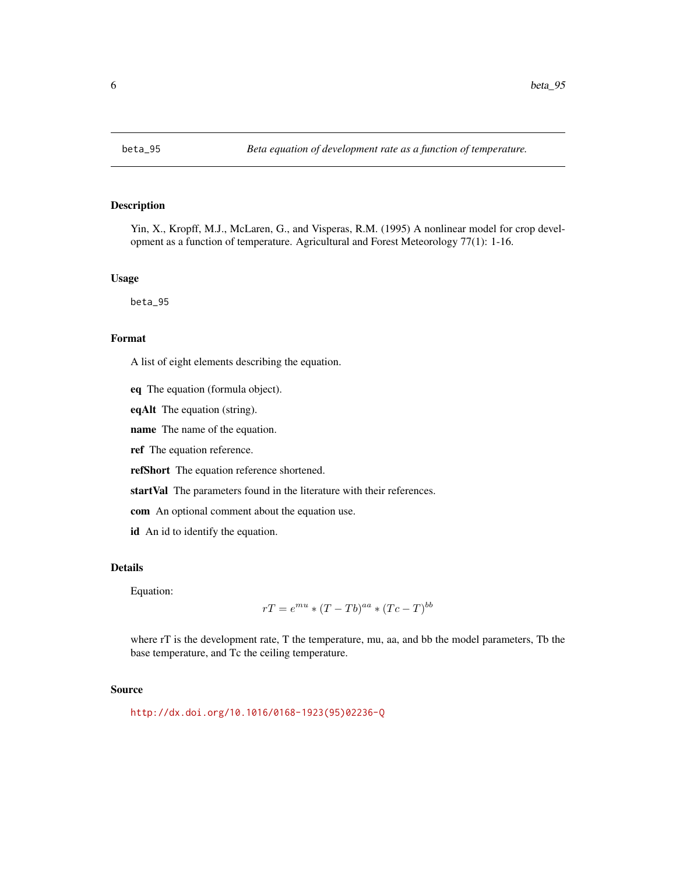<span id="page-5-0"></span>

Yin, X., Kropff, M.J., McLaren, G., and Visperas, R.M. (1995) A nonlinear model for crop development as a function of temperature. Agricultural and Forest Meteorology 77(1): 1-16.

## Usage

beta\_95

#### Format

A list of eight elements describing the equation.

eq The equation (formula object).

eqAlt The equation (string).

name The name of the equation.

ref The equation reference.

refShort The equation reference shortened.

startVal The parameters found in the literature with their references.

com An optional comment about the equation use.

id An id to identify the equation.

## Details

Equation:

$$
rT = e^{mu} * (T - Tb)^{aa} * (Tc - T)^{bb}
$$

where rT is the development rate, T the temperature, mu, aa, and bb the model parameters, Tb the base temperature, and Tc the ceiling temperature.

## Source

[http://dx.doi.org/10.1016/0168-1923\(95\)02236-Q](http://dx.doi.org/10.1016/0168-1923(95)02236-Q)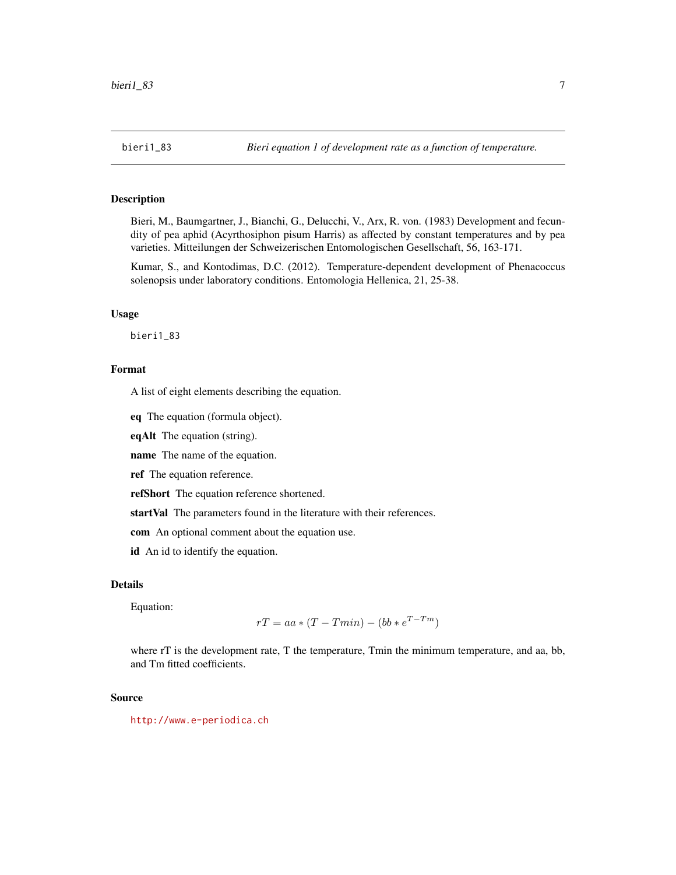<span id="page-6-0"></span>

Bieri, M., Baumgartner, J., Bianchi, G., Delucchi, V., Arx, R. von. (1983) Development and fecundity of pea aphid (Acyrthosiphon pisum Harris) as affected by constant temperatures and by pea varieties. Mitteilungen der Schweizerischen Entomologischen Gesellschaft, 56, 163-171.

Kumar, S., and Kontodimas, D.C. (2012). Temperature-dependent development of Phenacoccus solenopsis under laboratory conditions. Entomologia Hellenica, 21, 25-38.

#### Usage

bieri1\_83

## Format

A list of eight elements describing the equation.

eq The equation (formula object).

eqAlt The equation (string).

name The name of the equation.

ref The equation reference.

refShort The equation reference shortened.

startVal The parameters found in the literature with their references.

com An optional comment about the equation use.

id An id to identify the equation.

# Details

Equation:

$$
rT = aa * (T - Tmin) - (bb * e^{T - Tm})
$$

where rT is the development rate, T the temperature, Tmin the minimum temperature, and aa, bb, and Tm fitted coefficients.

#### Source

<http://www.e-periodica.ch>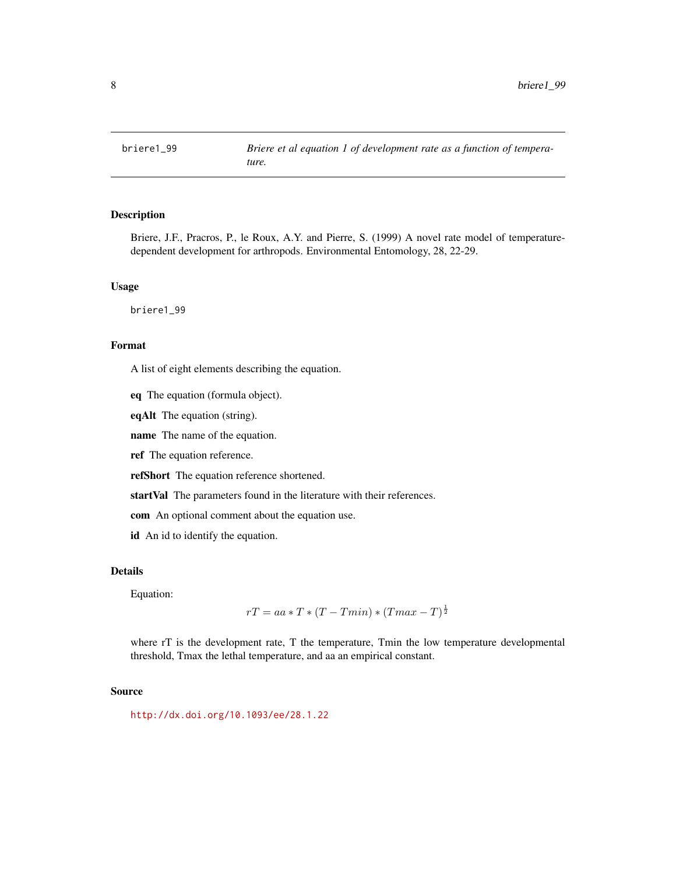<span id="page-7-0"></span>

Briere, J.F., Pracros, P., le Roux, A.Y. and Pierre, S. (1999) A novel rate model of temperaturedependent development for arthropods. Environmental Entomology, 28, 22-29.

# Usage

briere1\_99

# Format

A list of eight elements describing the equation.

eq The equation (formula object).

eqAlt The equation (string).

name The name of the equation.

ref The equation reference.

refShort The equation reference shortened.

startVal The parameters found in the literature with their references.

com An optional comment about the equation use.

id An id to identify the equation.

## Details

Equation:

$$
rT = aa * T * (T - Tmin) * (Tmax - T)^{\frac{1}{2}}
$$

where rT is the development rate, T the temperature, Tmin the low temperature developmental threshold, Tmax the lethal temperature, and aa an empirical constant.

# Source

<http://dx.doi.org/10.1093/ee/28.1.22>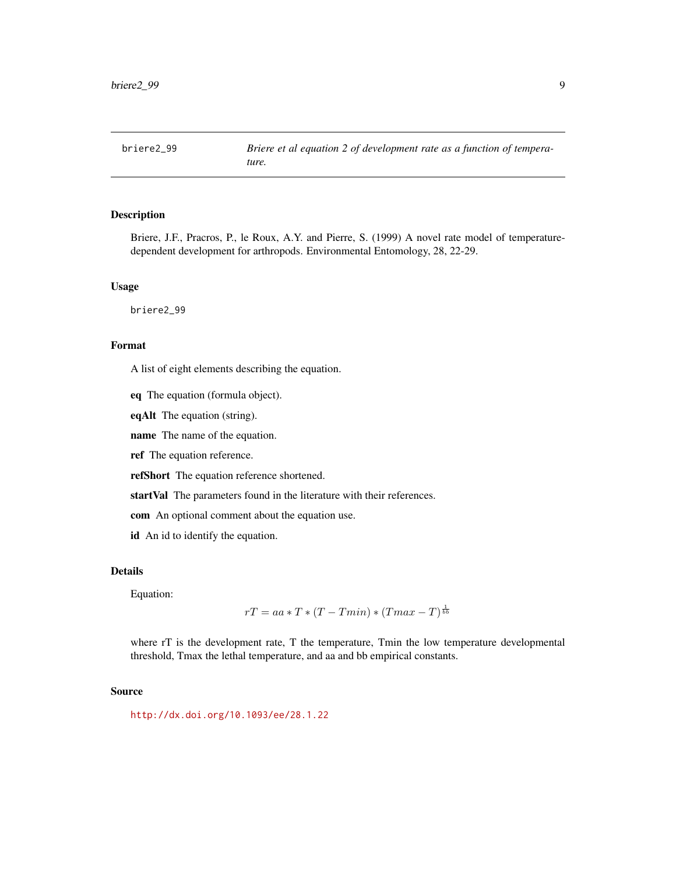<span id="page-8-0"></span>

Briere, J.F., Pracros, P., le Roux, A.Y. and Pierre, S. (1999) A novel rate model of temperaturedependent development for arthropods. Environmental Entomology, 28, 22-29.

# Usage

briere2\_99

# Format

A list of eight elements describing the equation.

eq The equation (formula object).

eqAlt The equation (string).

name The name of the equation.

ref The equation reference.

refShort The equation reference shortened.

startVal The parameters found in the literature with their references.

com An optional comment about the equation use.

id An id to identify the equation.

## Details

Equation:

$$
rT = aa * T * (T - Tmin) * (Tmax - T)^{\frac{1}{bb}}
$$

where rT is the development rate, T the temperature, Tmin the low temperature developmental threshold, Tmax the lethal temperature, and aa and bb empirical constants.

# Source

<http://dx.doi.org/10.1093/ee/28.1.22>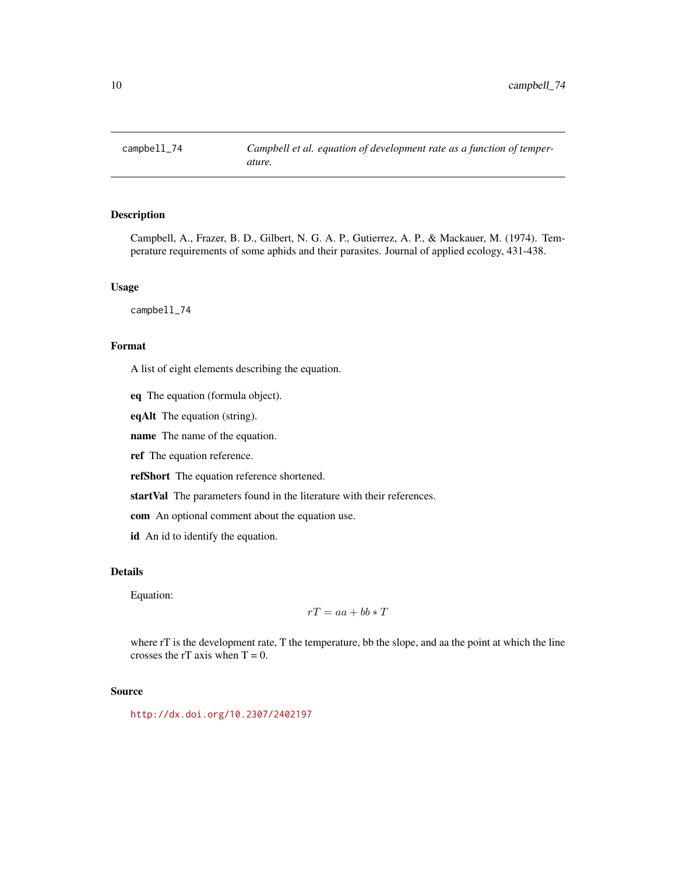<span id="page-9-0"></span>

Campbell, A., Frazer, B. D., Gilbert, N. G. A. P., Gutierrez, A. P., & Mackauer, M. (1974). Temperature requirements of some aphids and their parasites. Journal of applied ecology, 431-438.

# Usage

campbell\_74

# Format

A list of eight elements describing the equation.

eq The equation (formula object).

eqAlt The equation (string).

name The name of the equation.

ref The equation reference.

refShort The equation reference shortened.

startVal The parameters found in the literature with their references.

com An optional comment about the equation use.

id An id to identify the equation.

## Details

Equation:

$$
rT = aa + bb * T
$$

where rT is the development rate, T the temperature, bb the slope, and aa the point at which the line crosses the rT axis when  $T = 0$ .

## Source

<http://dx.doi.org/10.2307/2402197>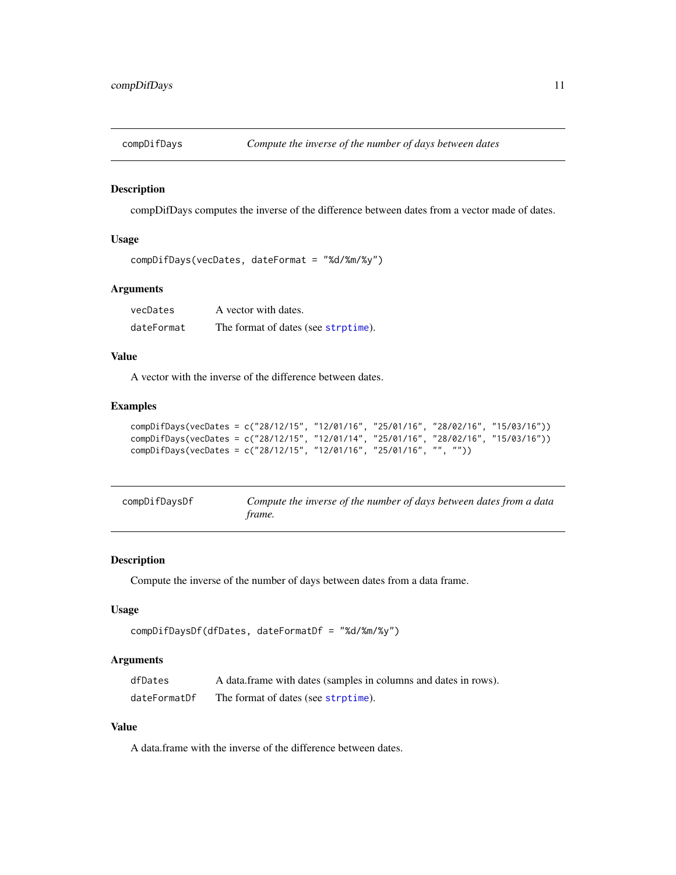<span id="page-10-0"></span>

compDifDays computes the inverse of the difference between dates from a vector made of dates.

## Usage

```
compDifDays(vecDates, dateFormat = "%d/%m/%y")
```
## Arguments

| vecDates   | A vector with dates.                |
|------------|-------------------------------------|
| dateFormat | The format of dates (see strptime). |

## Value

A vector with the inverse of the difference between dates.

# Examples

```
compDifDays(vecDates = c("28/12/15", "12/01/16", "25/01/16", "28/02/16", "15/03/16"))
compDifDays(vecDates = c("28/12/15", "12/01/14", "25/01/16", "28/02/16", "15/03/16"))
compDifDays(vecDates = c("28/12/15", "12/01/16", "25/01/16", "", ""))
```

| compDifDaysDf | Compute the inverse of the number of days between dates from a data |
|---------------|---------------------------------------------------------------------|
|               | trame.                                                              |

## Description

Compute the inverse of the number of days between dates from a data frame.

## Usage

```
compDifDaysDf(dfDates, dateFormatDf = "%d/%m/%y")
```
# Arguments

| dfDates      | A data frame with dates (samples in columns and dates in rows). |
|--------------|-----------------------------------------------------------------|
| dateFormatDf | The format of dates (see strptime).                             |

# Value

A data.frame with the inverse of the difference between dates.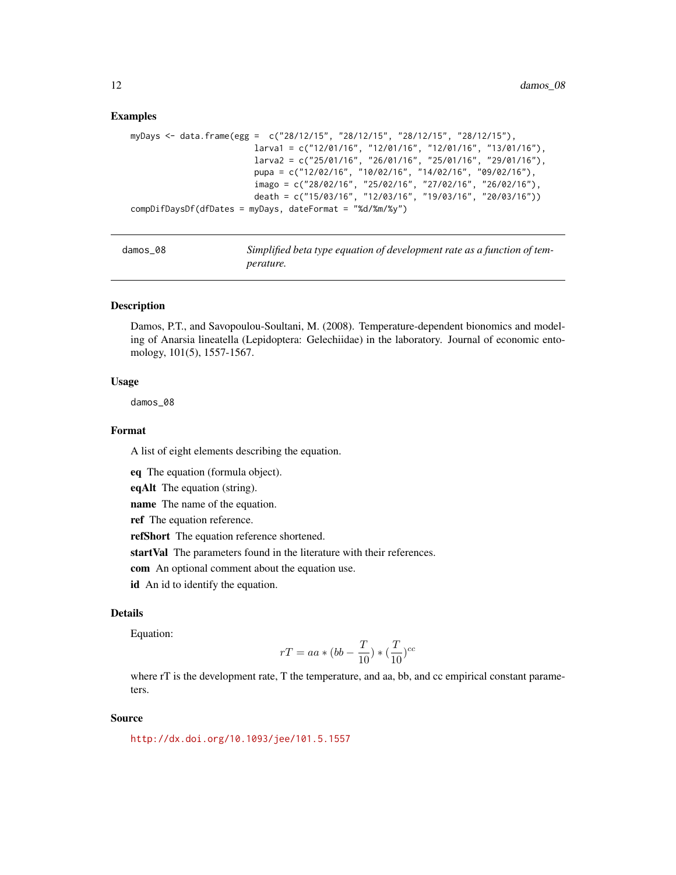#### Examples

```
myDays <- data.frame(egg = c("28/12/15", "28/12/15", "28/12/15", "28/12/15"),
                        larva1 = c("12/01/16", "12/01/16", "12/01/16", "13/01/16"),
                         larva2 = c("25/01/16", "26/01/16", "25/01/16", "29/01/16"),
                        pupa = c("12/02/16", "10/02/16", "14/02/16", "09/02/16"),
                         imago = c("28/02/16", "25/02/16", "27/02/16", "26/02/16"),
                        death = c("15/03/16", "12/03/16", "19/03/16", "20/03/16"))
compDifDaysDf(dfDates = myDays, dateFormat = "%d/%m/%y")
```

| damos | 08 |
|-------|----|
|-------|----|

Simplified beta type equation of development rate as a function of tem*perature.*

#### Description

Damos, P.T., and Savopoulou-Soultani, M. (2008). Temperature-dependent bionomics and modeling of Anarsia lineatella (Lepidoptera: Gelechiidae) in the laboratory. Journal of economic entomology, 101(5), 1557-1567.

#### Usage

damos\_08

## Format

A list of eight elements describing the equation.

eq The equation (formula object).

eqAlt The equation (string).

name The name of the equation.

ref The equation reference.

refShort The equation reference shortened.

startVal The parameters found in the literature with their references.

com An optional comment about the equation use.

id An id to identify the equation.

# Details

Equation:

$$
rT = aa * (bb - \frac{T}{10}) * (\frac{T}{10})^{cc}
$$

where rT is the development rate, T the temperature, and aa, bb, and cc empirical constant parameters.

#### Source

<http://dx.doi.org/10.1093/jee/101.5.1557>

<span id="page-11-0"></span>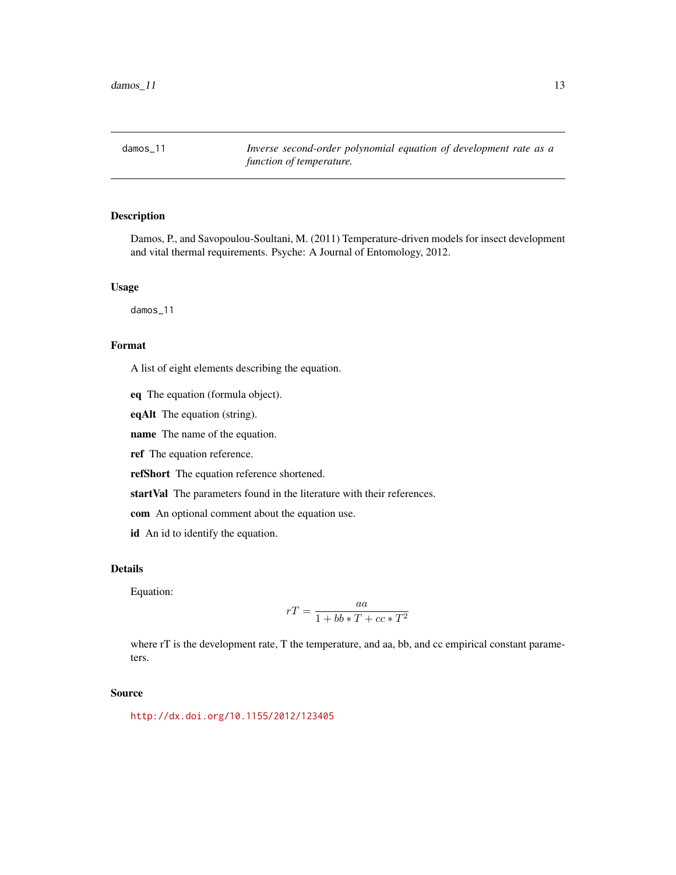<span id="page-12-0"></span>damos\_11 *Inverse second-order polynomial equation of development rate as a function of temperature.*

# Description

Damos, P., and Savopoulou-Soultani, M. (2011) Temperature-driven models for insect development and vital thermal requirements. Psyche: A Journal of Entomology, 2012.

# Usage

damos\_11

# Format

A list of eight elements describing the equation.

eq The equation (formula object).

eqAlt The equation (string).

name The name of the equation.

ref The equation reference.

refShort The equation reference shortened.

startVal The parameters found in the literature with their references.

com An optional comment about the equation use.

id An id to identify the equation.

## Details

Equation:

$$
rT = \frac{aa}{1 + bb * T + cc * T^2}
$$

where rT is the development rate, T the temperature, and aa, bb, and cc empirical constant parameters.

#### Source

<http://dx.doi.org/10.1155/2012/123405>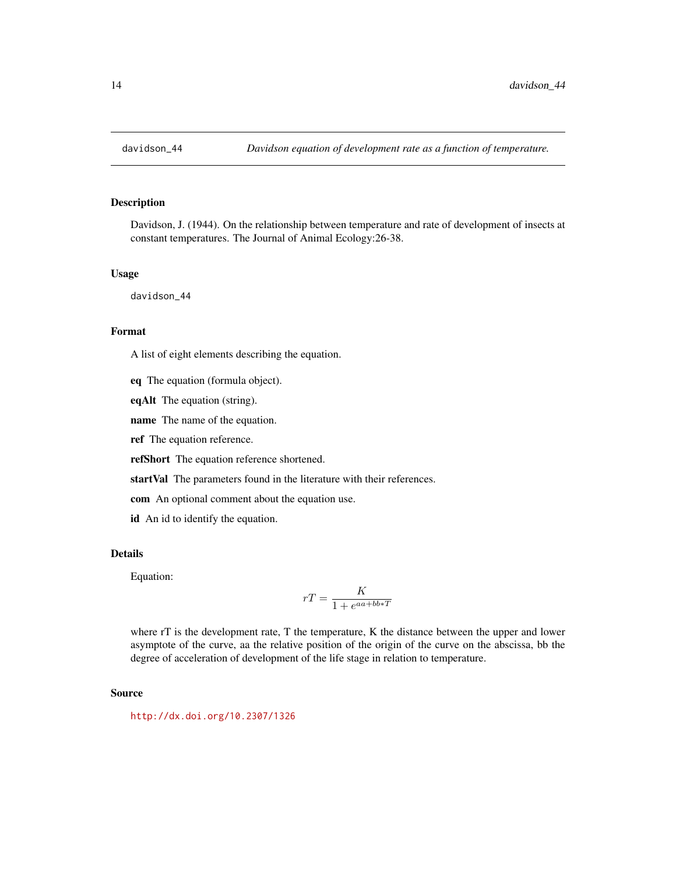<span id="page-13-0"></span>

Davidson, J. (1944). On the relationship between temperature and rate of development of insects at constant temperatures. The Journal of Animal Ecology:26-38.

#### Usage

davidson\_44

# Format

A list of eight elements describing the equation.

eq The equation (formula object).

eqAlt The equation (string).

name The name of the equation.

ref The equation reference.

refShort The equation reference shortened.

startVal The parameters found in the literature with their references.

com An optional comment about the equation use.

id An id to identify the equation.

## Details

Equation:

$$
rT = \frac{K}{1+e^{aa+bb*T}}
$$

where rT is the development rate, T the temperature, K the distance between the upper and lower asymptote of the curve, aa the relative position of the origin of the curve on the abscissa, bb the degree of acceleration of development of the life stage in relation to temperature.

#### Source

<http://dx.doi.org/10.2307/1326>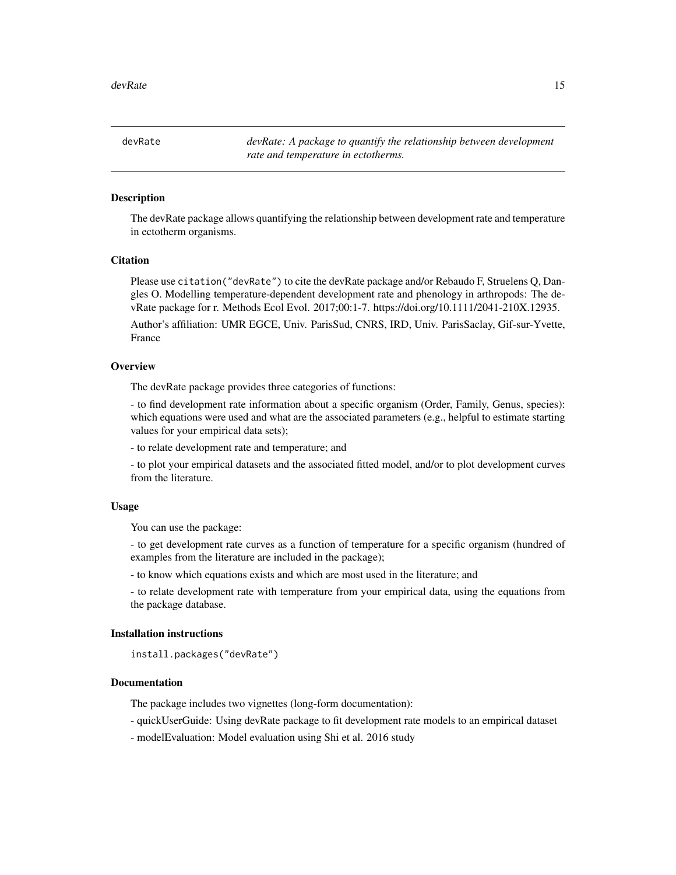<span id="page-14-0"></span>devRate *devRate: A package to quantify the relationship between development rate and temperature in ectotherms.*

## **Description**

The devRate package allows quantifying the relationship between development rate and temperature in ectotherm organisms.

# **Citation**

Please use citation("devRate") to cite the devRate package and/or Rebaudo F, Struelens Q, Dangles O. Modelling temperature-dependent development rate and phenology in arthropods: The devRate package for r. Methods Ecol Evol. 2017;00:1-7. https://doi.org/10.1111/2041-210X.12935. Author's affiliation: UMR EGCE, Univ. ParisSud, CNRS, IRD, Univ. ParisSaclay, Gif-sur-Yvette, France

#### **Overview**

The devRate package provides three categories of functions:

- to find development rate information about a specific organism (Order, Family, Genus, species): which equations were used and what are the associated parameters (e.g., helpful to estimate starting values for your empirical data sets);

- to relate development rate and temperature; and

- to plot your empirical datasets and the associated fitted model, and/or to plot development curves from the literature.

#### Usage

You can use the package:

- to get development rate curves as a function of temperature for a specific organism (hundred of examples from the literature are included in the package);

- to know which equations exists and which are most used in the literature; and

- to relate development rate with temperature from your empirical data, using the equations from the package database.

## Installation instructions

```
install.packages("devRate")
```
# Documentation

The package includes two vignettes (long-form documentation):

- quickUserGuide: Using devRate package to fit development rate models to an empirical dataset

- modelEvaluation: Model evaluation using Shi et al. 2016 study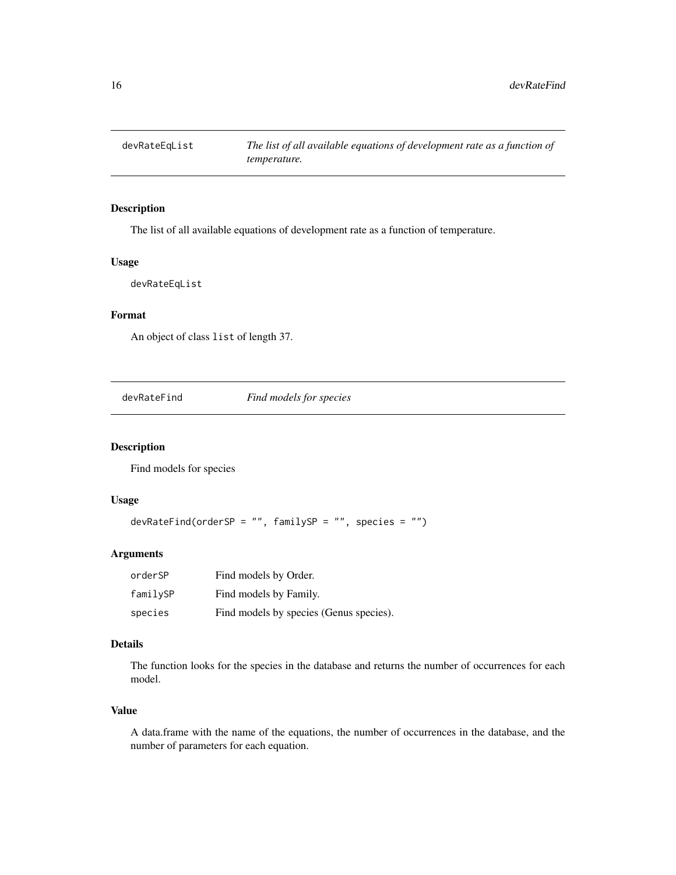<span id="page-15-0"></span>

The list of all available equations of development rate as a function of temperature.

## Usage

devRateEqList

# Format

An object of class list of length 37.

devRateFind *Find models for species*

# Description

Find models for species

## Usage

```
devRateFind(orderSP = "", familySP = "", species = "")
```
## Arguments

| orderSP  | Find models by Order.                   |
|----------|-----------------------------------------|
| familySP | Find models by Family.                  |
| species  | Find models by species (Genus species). |

## Details

The function looks for the species in the database and returns the number of occurrences for each model.

# Value

A data.frame with the name of the equations, the number of occurrences in the database, and the number of parameters for each equation.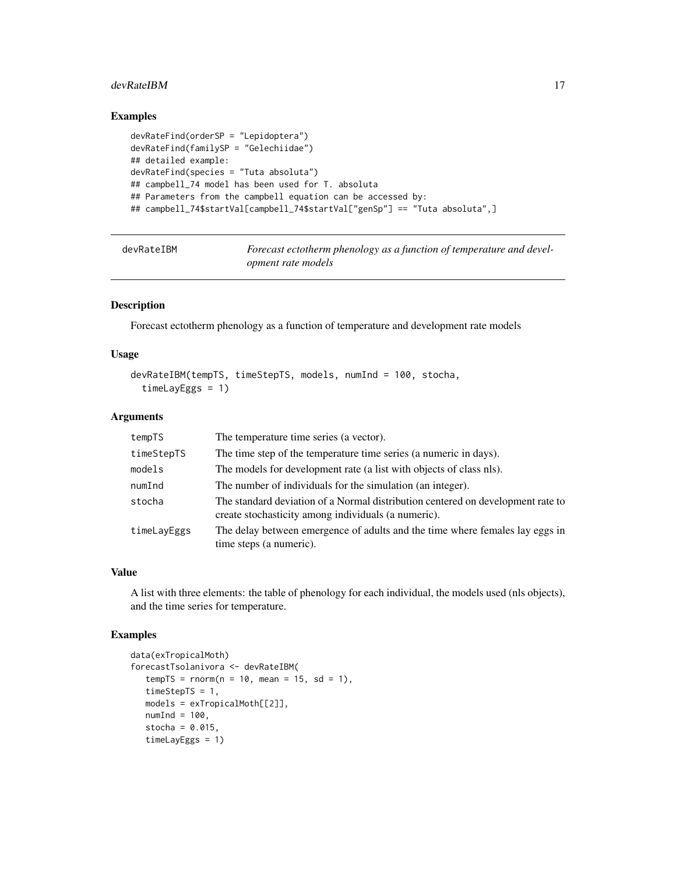#### <span id="page-16-0"></span>devRateIBM 17

# Examples

```
devRateFind(orderSP = "Lepidoptera")
devRateFind(familySP = "Gelechiidae")
## detailed example:
devRateFind(species = "Tuta absoluta")
## campbell_74 model has been used for T. absoluta
## Parameters from the campbell equation can be accessed by:
## campbell_74$startVal[campbell_74$startVal["genSp"] == "Tuta absoluta",]
```
devRateIBM *Forecast ectotherm phenology as a function of temperature and development rate models*

# Description

Forecast ectotherm phenology as a function of temperature and development rate models

#### Usage

```
devRateIBM(tempTS, timeStepTS, models, numInd = 100, stocha,
  timeLayEggs = 1)
```
#### Arguments

| tempTS      | The temperature time series (a vector).                                                                                                |
|-------------|----------------------------------------------------------------------------------------------------------------------------------------|
| timeStepTS  | The time step of the temperature time series (a numeric in days).                                                                      |
| models      | The models for development rate (a list with objects of class nls).                                                                    |
| numInd      | The number of individuals for the simulation (an integer).                                                                             |
| stocha      | The standard deviation of a Normal distribution centered on development rate to<br>create stochasticity among individuals (a numeric). |
| timeLayEggs | The delay between emergence of adults and the time where females lay eggs in<br>time steps (a numeric).                                |

# Value

A list with three elements: the table of phenology for each individual, the models used (nls objects), and the time series for temperature.

## Examples

```
data(exTropicalMoth)
forecastTsolanivora <- devRateIBM(
  tempTS = rnorm(n = 10, mean = 15, sd = 1),timeStepTS = 1,
  models = exTropicalMoth[[2]],
  numInd = 100,
  stocha = 0.015,
  timeLayEggs = 1)
```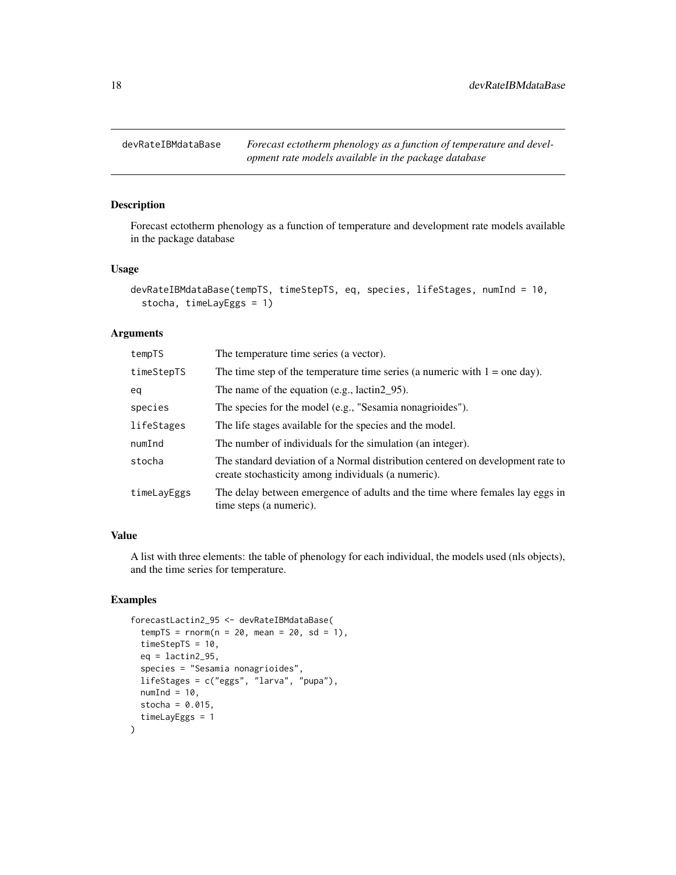<span id="page-17-0"></span>

Forecast ectotherm phenology as a function of temperature and development rate models available in the package database

## Usage

```
devRateIBMdataBase(tempTS, timeStepTS, eq, species, lifeStages, numInd = 10,
  stocha, timeLayEggs = 1)
```
#### Arguments

| tempTS      | The temperature time series (a vector).                                                                                                |
|-------------|----------------------------------------------------------------------------------------------------------------------------------------|
| timeStepTS  | The time step of the temperature time series (a numeric with $1 =$ one day).                                                           |
| eq          | The name of the equation (e.g., lactin $2\,95$ ).                                                                                      |
| species     | The species for the model (e.g., "Sesamia nonagrioides").                                                                              |
| lifeStages  | The life stages available for the species and the model.                                                                               |
| numInd      | The number of individuals for the simulation (an integer).                                                                             |
| stocha      | The standard deviation of a Normal distribution centered on development rate to<br>create stochasticity among individuals (a numeric). |
| timeLayEggs | The delay between emergence of adults and the time where females lay eggs in<br>time steps (a numeric).                                |

# Value

A list with three elements: the table of phenology for each individual, the models used (nls objects), and the time series for temperature.

## Examples

```
forecastLactin2_95 <- devRateIBMdataBase(
 tempTS = rnorm(n = 20, mean = 20, sd = 1),timeStepTS = 10,
 eq = lactin2_95,
 species = "Sesamia nonagrioides",
 lifeStages = c("eggs", "larva", "pupa"),
 numInd = 10,
 stocha = 0.015,
 timeLayEggs = 1
)
```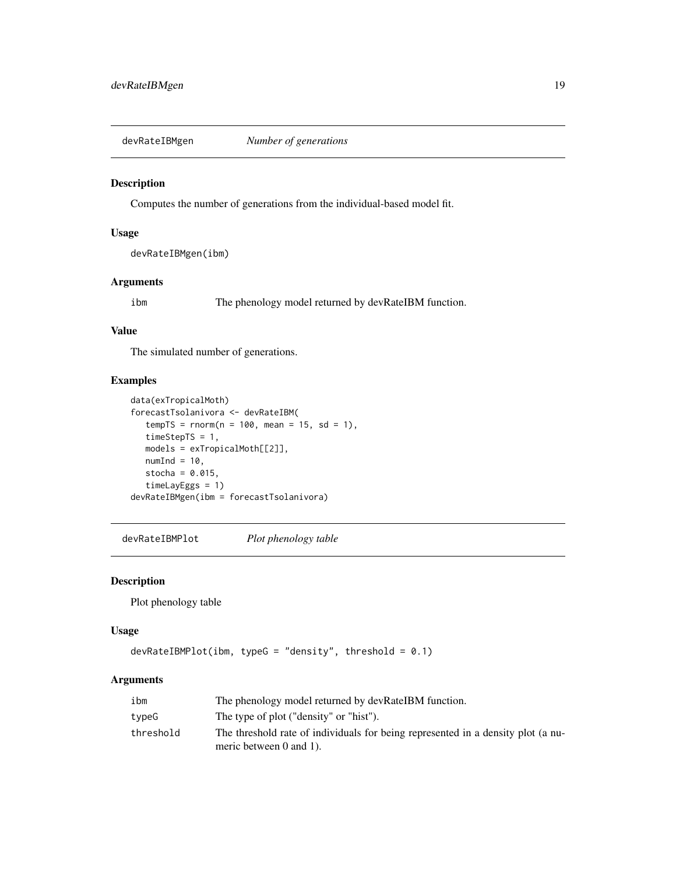<span id="page-18-0"></span>

Computes the number of generations from the individual-based model fit.

## Usage

devRateIBMgen(ibm)

## Arguments

ibm The phenology model returned by devRateIBM function.

## Value

The simulated number of generations.

# Examples

```
data(exTropicalMoth)
forecastTsolanivora <- devRateIBM(
  tempTS = rnorm(n = 100, mean = 15, sd = 1),timeStepTS = 1,
  models = exTropicalMoth[[2]],
  numInd = 10,
  stocha = 0.015,
  timeLayEggs = 1)
devRateIBMgen(ibm = forecastTsolanivora)
```
devRateIBMPlot *Plot phenology table*

## Description

Plot phenology table

## Usage

```
devRateIBMPlot(ibm, typeG = "density", threshold = 0.1)
```
# Arguments

| ibm       | The phenology model returned by devRateIBM function.                                                             |
|-----------|------------------------------------------------------------------------------------------------------------------|
| typeG     | The type of plot ("density" or "hist").                                                                          |
| threshold | The threshold rate of individuals for being represented in a density plot (a nu-<br>meric between $0$ and $1$ ). |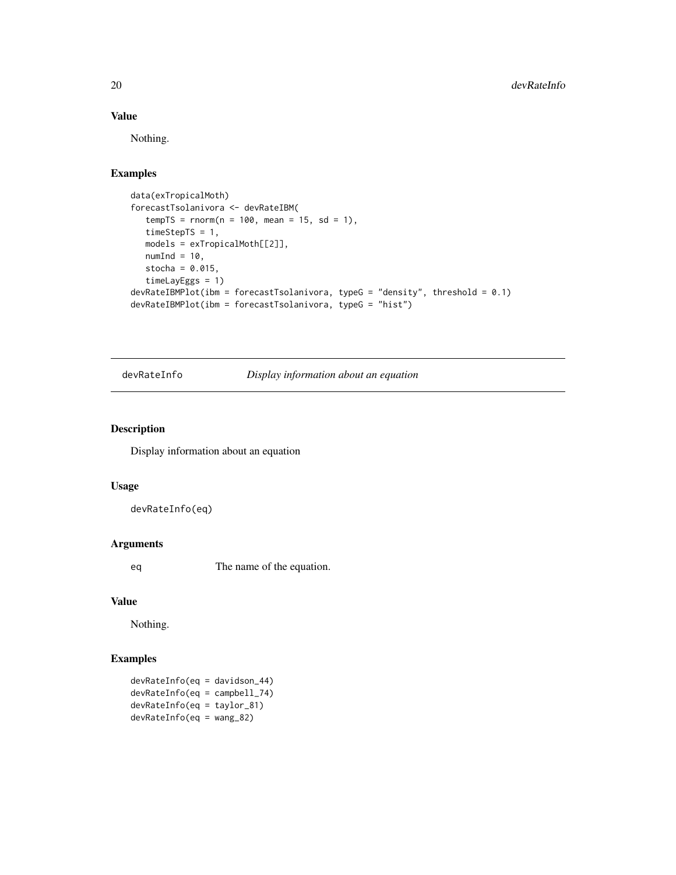# Value

Nothing.

# Examples

```
data(exTropicalMoth)
forecastTsolanivora <- devRateIBM(
   tempTS = rnorm(n = 100, mean = 15, sd = 1),timeStepTS = 1,
  models = exTropicalMoth[[2]],
  numInd = 10,
   stocha = 0.015,
   timeLayEggs = 1)
devRateIBMPlot(ibm = forecastTsolanivora, typeG = "density", threshold = 0.1)
devRateIBMPlot(ibm = forecastTsolanivora, typeG = "hist")
```
devRateInfo *Display information about an equation*

#### Description

Display information about an equation

## Usage

devRateInfo(eq)

# Arguments

eq The name of the equation.

## Value

Nothing.

# Examples

devRateInfo(eq = davidson\_44) devRateInfo(eq = campbell\_74) devRateInfo(eq = taylor\_81) devRateInfo(eq = wang\_82)

<span id="page-19-0"></span>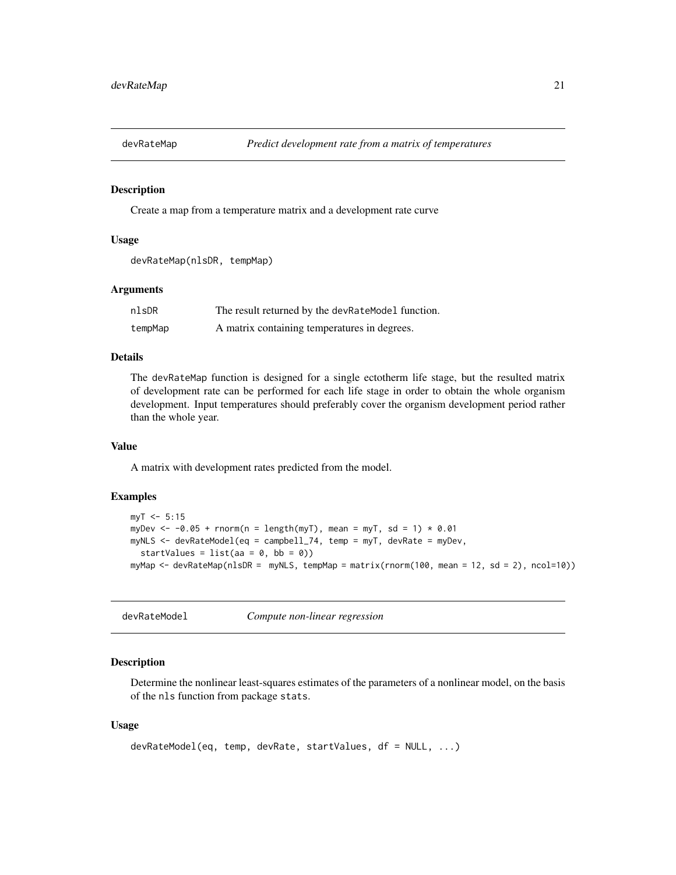<span id="page-20-0"></span>

Create a map from a temperature matrix and a development rate curve

#### Usage

```
devRateMap(nlsDR, tempMap)
```
## Arguments

| nlsDR   | The result returned by the devRateModel function. |
|---------|---------------------------------------------------|
| tempMap | A matrix containing temperatures in degrees.      |

# Details

The devRateMap function is designed for a single ectotherm life stage, but the resulted matrix of development rate can be performed for each life stage in order to obtain the whole organism development. Input temperatures should preferably cover the organism development period rather than the whole year.

#### Value

A matrix with development rates predicted from the model.

#### Examples

```
myT < -5:15myDev \le -0.05 + \text{norm}(n = \text{length}(myT), \text{ mean} = myT, \text{ sd} = 1) * 0.01myNLS <- devRateModel(eq = campbell_74, temp = myT, devRate = myDev,
  startValues = list(aa = 0, bb = 0))
myMap <- devRateMap(nlsDR = myNLS, tempMap = matrix(rnorm(100, mean = 12, sd = 2), ncol=10))
```
devRateModel *Compute non-linear regression*

# Description

Determine the nonlinear least-squares estimates of the parameters of a nonlinear model, on the basis of the nls function from package stats.

#### Usage

```
devRateModel(eq, temp, devRate, startValues, df = NULL, ...)
```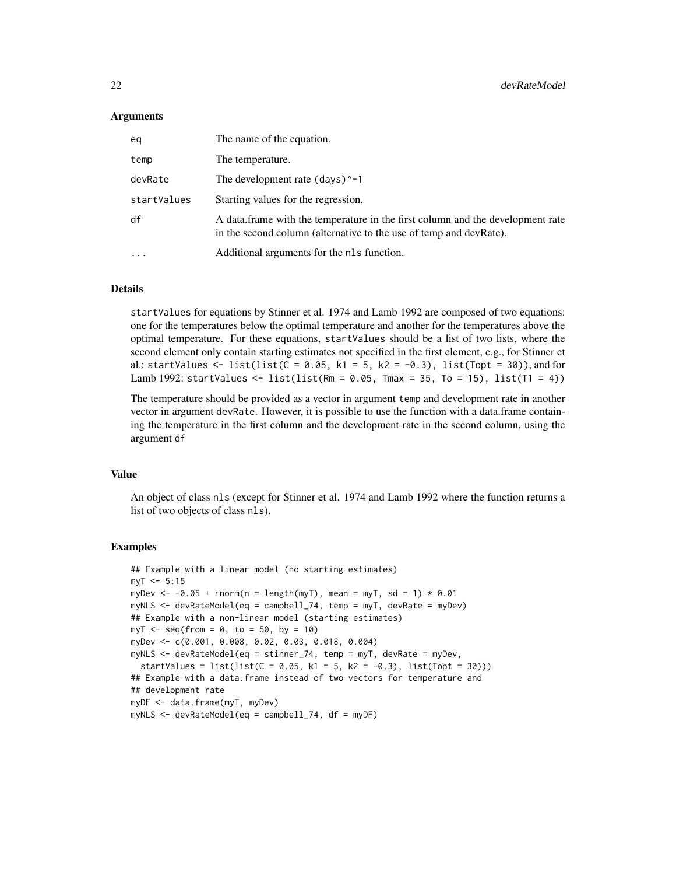## Arguments

| ea          | The name of the equation.                                                                                                                            |
|-------------|------------------------------------------------------------------------------------------------------------------------------------------------------|
| temp        | The temperature.                                                                                                                                     |
| devRate     | The development rate $(days)^{-1}$                                                                                                                   |
| startValues | Starting values for the regression.                                                                                                                  |
| df          | A data frame with the temperature in the first column and the development rate<br>in the second column (alternative to the use of temp and devRate). |
| .           | Additional arguments for the nls function.                                                                                                           |

#### Details

startValues for equations by Stinner et al. 1974 and Lamb 1992 are composed of two equations: one for the temperatures below the optimal temperature and another for the temperatures above the optimal temperature. For these equations, startValues should be a list of two lists, where the second element only contain starting estimates not specified in the first element, e.g., for Stinner et al.: startValues <- list(list( $C = 0.05$ , k1 = 5, k2 = -0.3), list(Topt = 30)), and for Lamb 1992: startValues  $\le$  list(list(Rm = 0.05, Tmax = 35, To = 15), list(T1 = 4))

The temperature should be provided as a vector in argument temp and development rate in another vector in argument devRate. However, it is possible to use the function with a data.frame containing the temperature in the first column and the development rate in the sceond column, using the argument df

# Value

An object of class nls (except for Stinner et al. 1974 and Lamb 1992 where the function returns a list of two objects of class nls).

# Examples

```
## Example with a linear model (no starting estimates)
mvT < -5:15myDev \le -0.05 + \text{norm}(n = \text{length}(myT), \text{ mean} = myT, \text{ sd} = 1) * 0.01myNLS \leq devRateModel(eq = campbell_74, temp = myT, devRate = myDev)
## Example with a non-linear model (starting estimates)
myT < -seq(from = 0, to = 50, by = 10)myDev <- c(0.001, 0.008, 0.02, 0.03, 0.018, 0.004)
myNLS <- devRateModel(eq = stinner_74, temp = myT, devRate = myDev,
 startValues = list(list(C = 0.05, k1 = 5, k2 = -0.3), list(Topt = 30)))
## Example with a data.frame instead of two vectors for temperature and
## development rate
myDF <- data.frame(myT, myDev)
myNLS \leq devRateModel(eq = campbell_74, df = myDF)
```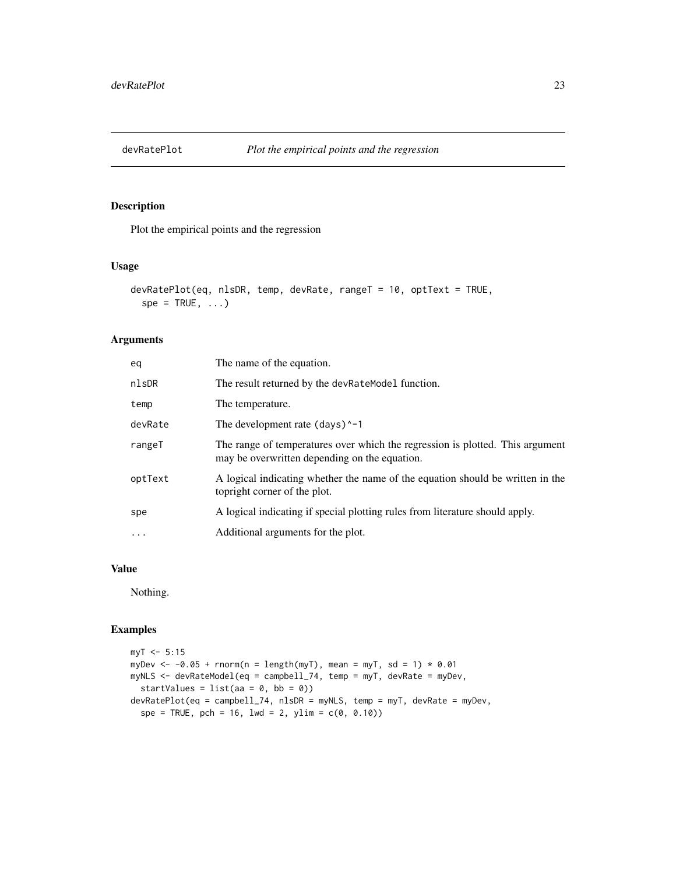<span id="page-22-0"></span>

Plot the empirical points and the regression

# Usage

```
devRatePlot(eq, nlsDR, temp, devRate, rangeT = 10, optText = TRUE,
  spe = TRUE, ...)
```
# Arguments

| eq        | The name of the equation.                                                                                                      |
|-----------|--------------------------------------------------------------------------------------------------------------------------------|
| nlsDR     | The result returned by the devRateModel function.                                                                              |
| temp      | The temperature.                                                                                                               |
| devRate   | The development rate $(days)^{-1}$                                                                                             |
| rangeT    | The range of temperatures over which the regression is plotted. This argument<br>may be overwritten depending on the equation. |
| optText   | A logical indicating whether the name of the equation should be written in the<br>topright corner of the plot.                 |
| spe       | A logical indicating if special plotting rules from literature should apply.                                                   |
| $\ddotsc$ | Additional arguments for the plot.                                                                                             |
|           |                                                                                                                                |

## Value

Nothing.

# Examples

```
myT < -5:15myDev \le -0.05 + \text{norm}(n = \text{length}(myT), \text{ mean} = myT, \text{ sd} = 1) * 0.01myNLS <- devRateModel(eq = campbell_74, temp = myT, devRate = myDev,
  startValues = list(aa = 0, bb = 0))
devRatePlot(eq = campbell_74, nlsDR = myNLS, temp = myT, devRate = myDev,
  spe = TRUE, pch = 16, lwd = 2, ylim = c(0, 0.10)
```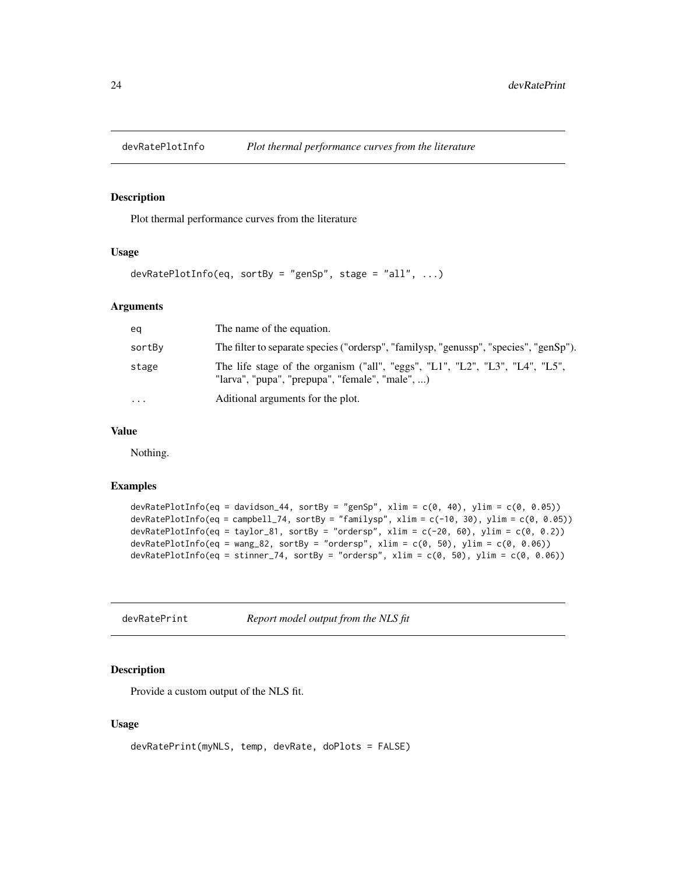<span id="page-23-0"></span>

Plot thermal performance curves from the literature

# Usage

```
devRatePlotInfo(eq, sortBy = "genSp", stage = "all", ...)
```
# Arguments

| eq        | The name of the equation.                                                                                                       |
|-----------|---------------------------------------------------------------------------------------------------------------------------------|
| sortBy    | The filter to separate species ("ordersp", "familysp, "genussp", "species", "genSp").                                           |
| stage     | The life stage of the organism ("all", "eggs", "L1", "L2", "L3", "L4", "L5",<br>"larva", "pupa", "prepupa", "female", "male", ) |
| $\ddotsc$ | Aditional arguments for the plot.                                                                                               |

# Value

Nothing.

# Examples

```
devRatePlotInfo(eq = davidson_44, sortBy = "genSp", xlim = c(\theta, 4\theta), ylim = c(\theta, 0.05))
devRatePlotInfo(eq = campbell_74, sortBy = "familysp", xlim = c(-10, 30), ylim = c(0, 0.05))
devRatePlotInfo(eq = taylor_81, sortBy = "ordersp", xlim = c(-20, 60), ylim = c(0, 0.2))
devRatePlotInfo(eq = wang_82, sortBy = "ordersp", xlim = c(\theta, 5\theta), ylim = c(\theta, 0.06))
devRatePlotInfo(eq = stinner_74, sortBy = "ordersp", xlim = c(0, 50), ylim = c(0, 0.06))
```

| devRatePrint | Report model output from the NLS fit |  |  |
|--------------|--------------------------------------|--|--|
|--------------|--------------------------------------|--|--|

# Description

Provide a custom output of the NLS fit.

# Usage

```
devRatePrint(myNLS, temp, devRate, doPlots = FALSE)
```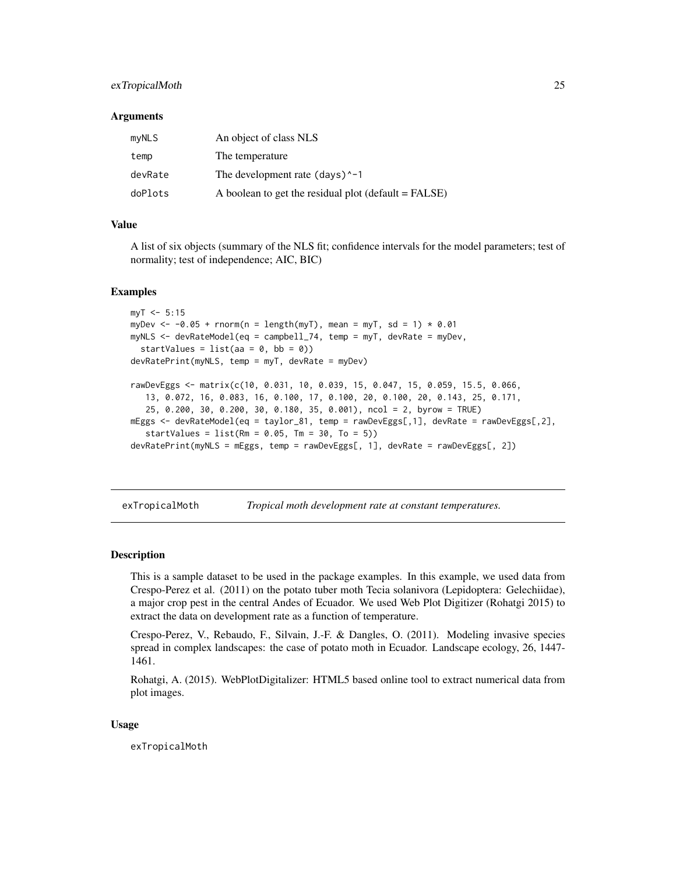# <span id="page-24-0"></span>exTropicalMoth 25

#### Arguments

| myNLS   | An object of class NLS                               |
|---------|------------------------------------------------------|
| temp    | The temperature                                      |
| devRate | The development rate $(days)^{-1}$                   |
| doPlots | A boolean to get the residual plot (default = FALSE) |

# Value

A list of six objects (summary of the NLS fit; confidence intervals for the model parameters; test of normality; test of independence; AIC, BIC)

#### Examples

```
mvT < -5:15myDev \le -0.05 + \text{norm}(n = \text{length}(myT)), mean = myT, sd = 1) * 0.01myNLS <- devRateModel(eq = campbell_74, temp = myT, devRate = myDev,
  startValues = list(aa = 0, bb = 0))
devRatePrint(myNLS, temp = myT, devRate = myDev)
rawDevEggs <- matrix(c(10, 0.031, 10, 0.039, 15, 0.047, 15, 0.059, 15.5, 0.066,
   13, 0.072, 16, 0.083, 16, 0.100, 17, 0.100, 20, 0.100, 20, 0.143, 25, 0.171,
   25, 0.200, 30, 0.200, 30, 0.180, 35, 0.001), ncol = 2, byrow = TRUE)
mEggs <- devRateModel(eq = taylor_81, temp = rawDevEggs[,1], devRate = rawDevEggs[,2],
   startValues = list(Rm = 0.05, Tm = 30, To = 5))devRatePrint(myNLS = mEggs, temp = rawDevEggs[, 1], devRate = rawDevEggs[, 2])
```
exTropicalMoth *Tropical moth development rate at constant temperatures.*

#### **Description**

This is a sample dataset to be used in the package examples. In this example, we used data from Crespo-Perez et al. (2011) on the potato tuber moth Tecia solanivora (Lepidoptera: Gelechiidae), a major crop pest in the central Andes of Ecuador. We used Web Plot Digitizer (Rohatgi 2015) to extract the data on development rate as a function of temperature.

Crespo-Perez, V., Rebaudo, F., Silvain, J.-F. & Dangles, O. (2011). Modeling invasive species spread in complex landscapes: the case of potato moth in Ecuador. Landscape ecology, 26, 1447- 1461.

Rohatgi, A. (2015). WebPlotDigitalizer: HTML5 based online tool to extract numerical data from plot images.

#### Usage

exTropicalMoth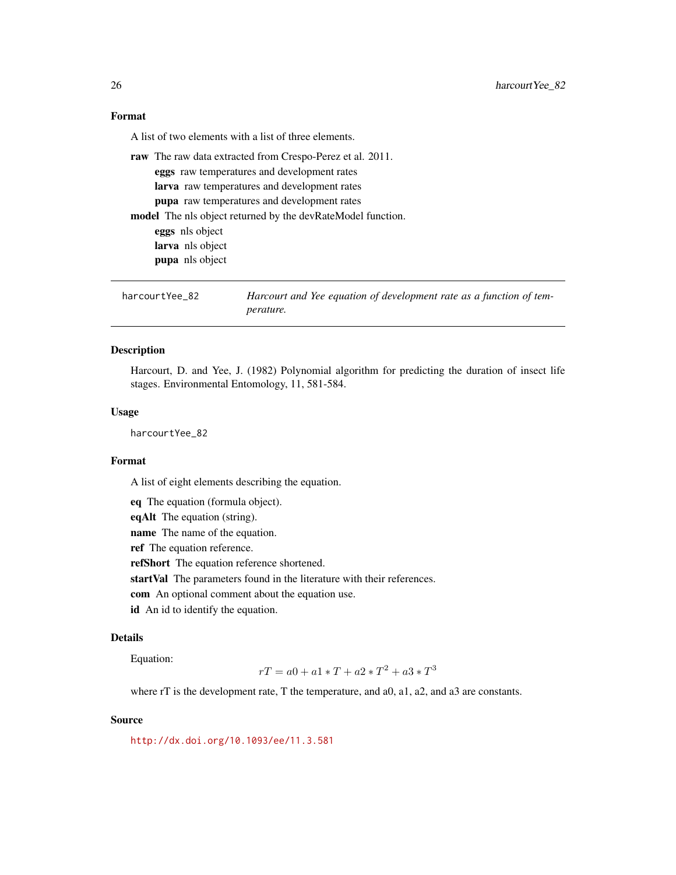<span id="page-25-0"></span>A list of two elements with a list of three elements.

raw The raw data extracted from Crespo-Perez et al. 2011. eggs raw temperatures and development rates larva raw temperatures and development rates pupa raw temperatures and development rates model The nls object returned by the devRateModel function. eggs nls object larva nls object pupa nls object

harcourtYee\_82 *Harcourt and Yee equation of development rate as a function of temperature.*

#### Description

Harcourt, D. and Yee, J. (1982) Polynomial algorithm for predicting the duration of insect life stages. Environmental Entomology, 11, 581-584.

## Usage

harcourtYee 82

## Format

A list of eight elements describing the equation.

eq The equation (formula object).

eqAlt The equation (string).

name The name of the equation.

ref The equation reference.

refShort The equation reference shortened.

startVal The parameters found in the literature with their references.

com An optional comment about the equation use.

id An id to identify the equation.

# Details

Equation:

 $rT = a0 + a1 * T + a2 * T^2 + a3 * T^3$ 

where rT is the development rate, T the temperature, and a0, a1, a2, and a3 are constants.

#### Source

<http://dx.doi.org/10.1093/ee/11.3.581>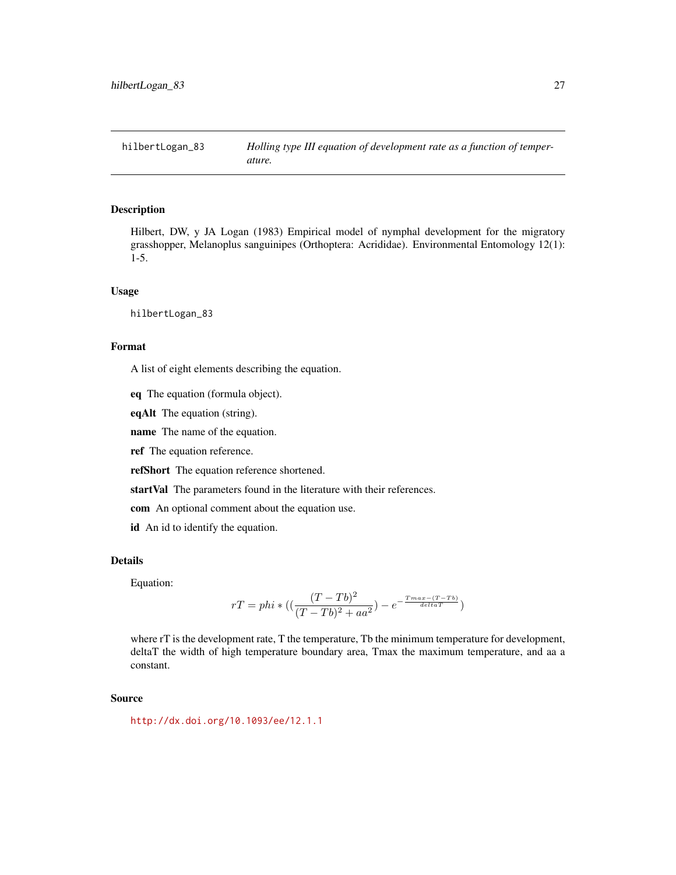<span id="page-26-0"></span>

Hilbert, DW, y JA Logan (1983) Empirical model of nymphal development for the migratory grasshopper, Melanoplus sanguinipes (Orthoptera: Acrididae). Environmental Entomology 12(1): 1-5.

#### Usage

hilbertLogan\_83

## Format

A list of eight elements describing the equation.

eq The equation (formula object).

eqAlt The equation (string).

name The name of the equation.

ref The equation reference.

refShort The equation reference shortened.

startVal The parameters found in the literature with their references.

com An optional comment about the equation use.

id An id to identify the equation.

## Details

Equation:

$$
rT = phi * ((\frac{(T - Tb)^2}{(T - Tb)^2 + aa^2}) - e^{-\frac{Tmax - (T - Tb)}{delta T}}
$$
)

where rT is the development rate, T the temperature, Tb the minimum temperature for development, deltaT the width of high temperature boundary area, Tmax the maximum temperature, and aa a constant.

## Source

<http://dx.doi.org/10.1093/ee/12.1.1>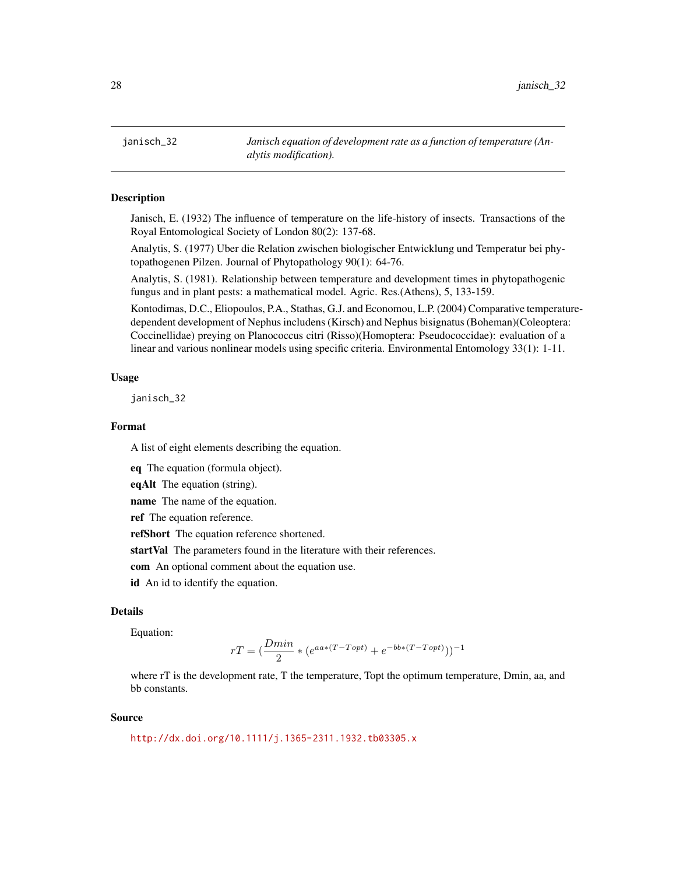<span id="page-27-0"></span>janisch\_32 *Janisch equation of development rate as a function of temperature (Analytis modification).*

#### **Description**

Janisch, E. (1932) The influence of temperature on the life-history of insects. Transactions of the Royal Entomological Society of London 80(2): 137-68.

Analytis, S. (1977) Uber die Relation zwischen biologischer Entwicklung und Temperatur bei phytopathogenen Pilzen. Journal of Phytopathology 90(1): 64-76.

Analytis, S. (1981). Relationship between temperature and development times in phytopathogenic fungus and in plant pests: a mathematical model. Agric. Res.(Athens), 5, 133-159.

Kontodimas, D.C., Eliopoulos, P.A., Stathas, G.J. and Economou, L.P. (2004) Comparative temperaturedependent development of Nephus includens (Kirsch) and Nephus bisignatus (Boheman)(Coleoptera: Coccinellidae) preying on Planococcus citri (Risso)(Homoptera: Pseudococcidae): evaluation of a linear and various nonlinear models using specific criteria. Environmental Entomology 33(1): 1-11.

#### Usage

janisch\_32

# Format

A list of eight elements describing the equation.

eq The equation (formula object).

eqAlt The equation (string).

name The name of the equation.

ref The equation reference.

refShort The equation reference shortened.

startVal The parameters found in the literature with their references.

com An optional comment about the equation use.

id An id to identify the equation.

## Details

Equation:

$$
rT = \left(\frac{Dmin}{2} * (e^{aa*(T-Topt)} + e^{-bb*(T-Topt)})\right)^{-1}
$$

where rT is the development rate, T the temperature, Topt the optimum temperature, Dmin, aa, and bb constants.

#### Source

<http://dx.doi.org/10.1111/j.1365-2311.1932.tb03305.x>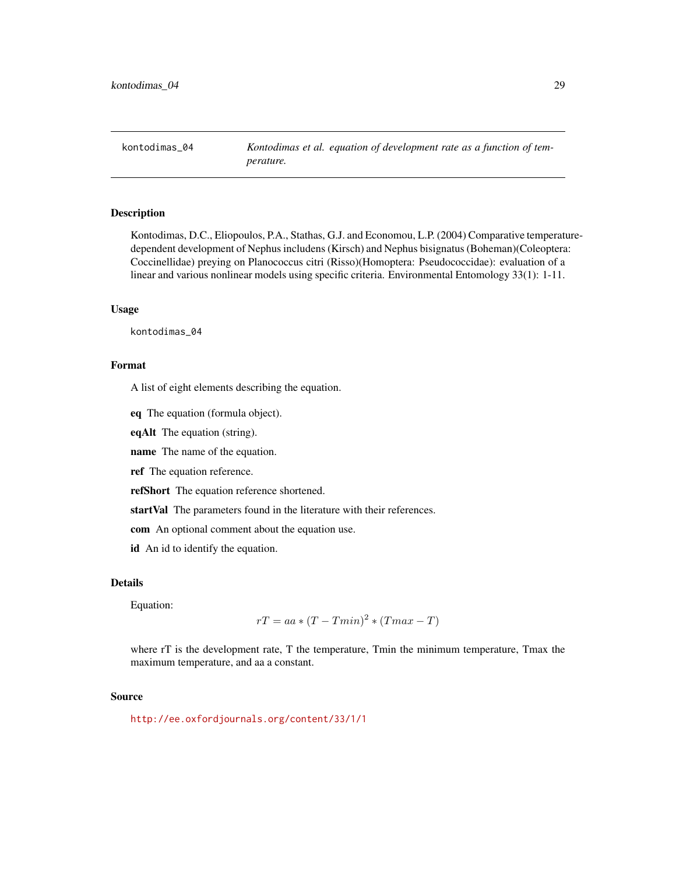<span id="page-28-0"></span>kontodimas\_04 *Kontodimas et al. equation of development rate as a function of temperature.*

# Description

Kontodimas, D.C., Eliopoulos, P.A., Stathas, G.J. and Economou, L.P. (2004) Comparative temperaturedependent development of Nephus includens (Kirsch) and Nephus bisignatus (Boheman)(Coleoptera: Coccinellidae) preying on Planococcus citri (Risso)(Homoptera: Pseudococcidae): evaluation of a linear and various nonlinear models using specific criteria. Environmental Entomology 33(1): 1-11.

#### Usage

kontodimas\_04

## Format

A list of eight elements describing the equation.

eq The equation (formula object).

eqAlt The equation (string).

name The name of the equation.

ref The equation reference.

refShort The equation reference shortened.

startVal The parameters found in the literature with their references.

com An optional comment about the equation use.

id An id to identify the equation.

## Details

Equation:

$$
rT = aa * (T - Tmin)^2 * (Tmax - T)
$$

where rT is the development rate, T the temperature, Tmin the minimum temperature, Tmax the maximum temperature, and aa a constant.

#### Source

<http://ee.oxfordjournals.org/content/33/1/1>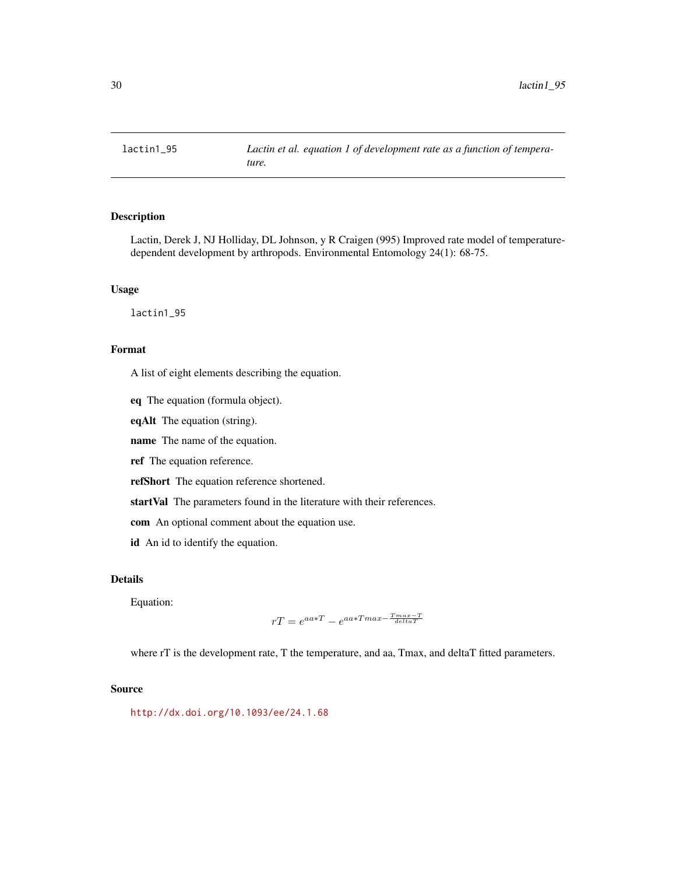<span id="page-29-0"></span>

Lactin, Derek J, NJ Holliday, DL Johnson, y R Craigen (995) Improved rate model of temperaturedependent development by arthropods. Environmental Entomology 24(1): 68-75.

# Usage

lactin1\_95

## Format

A list of eight elements describing the equation.

eq The equation (formula object).

eqAlt The equation (string).

name The name of the equation.

ref The equation reference.

refShort The equation reference shortened.

startVal The parameters found in the literature with their references.

com An optional comment about the equation use.

id An id to identify the equation.

# Details

Equation:

$$
rT = e^{aa*T} - e^{aa*Tmax - \frac{Tmax - T}{deltaT}}
$$

where rT is the development rate, T the temperature, and aa, Tmax, and deltaT fitted parameters.

#### Source

<http://dx.doi.org/10.1093/ee/24.1.68>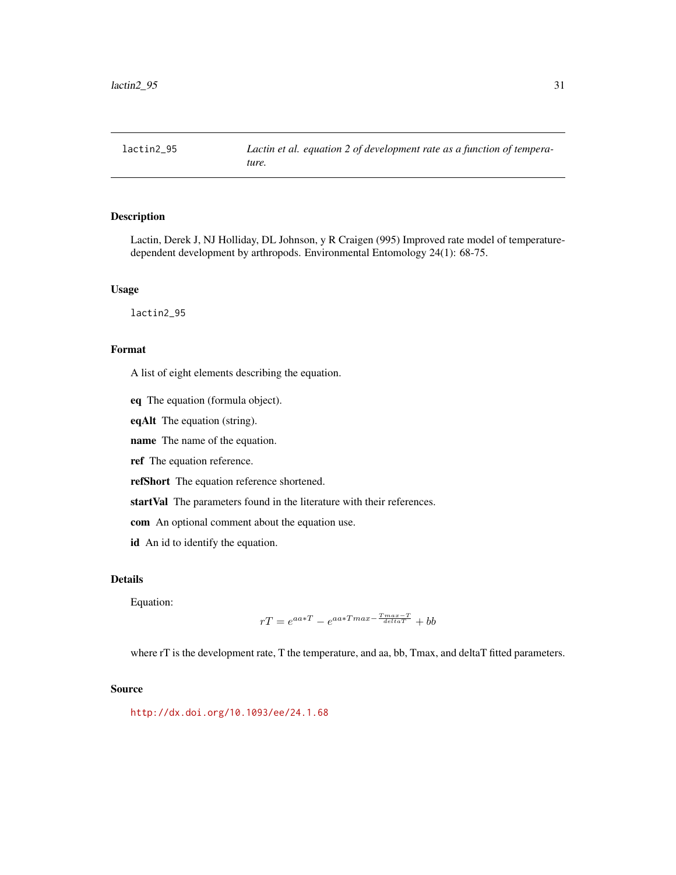<span id="page-30-0"></span>

Lactin, Derek J, NJ Holliday, DL Johnson, y R Craigen (995) Improved rate model of temperaturedependent development by arthropods. Environmental Entomology 24(1): 68-75.

# Usage

lactin2\_95

## Format

A list of eight elements describing the equation.

eq The equation (formula object).

eqAlt The equation (string).

name The name of the equation.

ref The equation reference.

refShort The equation reference shortened.

startVal The parameters found in the literature with their references.

com An optional comment about the equation use.

id An id to identify the equation.

# Details

Equation:

$$
rT = e^{aa*T} - e^{aa*Tmax - \frac{T_{max} - T}{deltaT}} + bb
$$

where rT is the development rate, T the temperature, and aa, bb, Tmax, and deltaT fitted parameters.

#### Source

<http://dx.doi.org/10.1093/ee/24.1.68>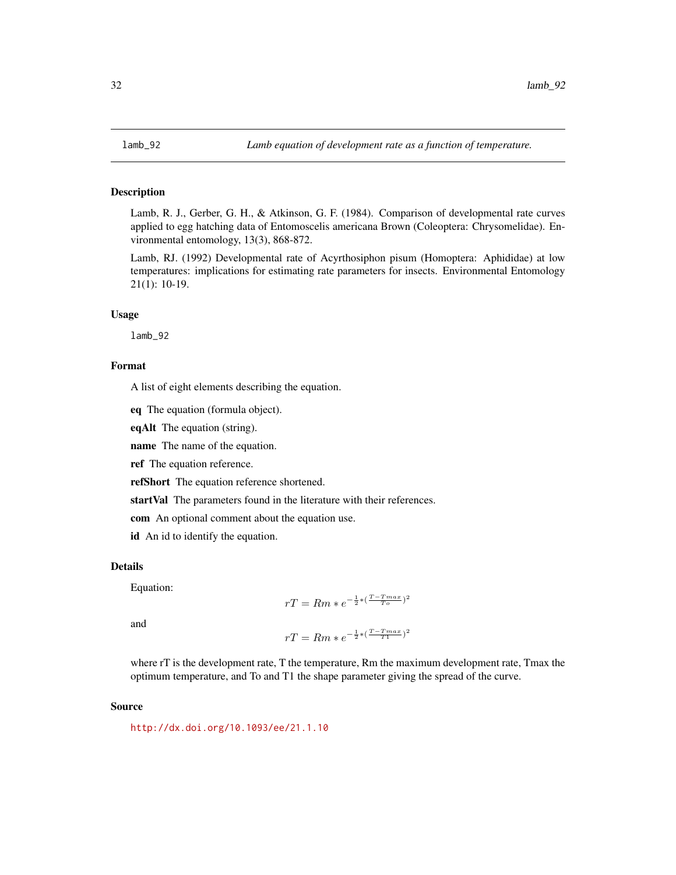<span id="page-31-0"></span>

Lamb, R. J., Gerber, G. H., & Atkinson, G. F. (1984). Comparison of developmental rate curves applied to egg hatching data of Entomoscelis americana Brown (Coleoptera: Chrysomelidae). Environmental entomology, 13(3), 868-872.

Lamb, RJ. (1992) Developmental rate of Acyrthosiphon pisum (Homoptera: Aphididae) at low temperatures: implications for estimating rate parameters for insects. Environmental Entomology 21(1): 10-19.

#### Usage

lamb\_92

# Format

A list of eight elements describing the equation.

eq The equation (formula object).

eqAlt The equation (string).

name The name of the equation.

ref The equation reference.

refShort The equation reference shortened.

startVal The parameters found in the literature with their references.

com An optional comment about the equation use.

id An id to identify the equation.

#### Details

Equation:

$$
rT = Rm * e^{-\frac{1}{2} * (\frac{T - Tmax}{T_o})^2}
$$

and

$$
rT = Rm * e^{-\frac{1}{2} * (\frac{T - Tmax}{T1})^2}
$$

where rT is the development rate, T the temperature, Rm the maximum development rate, Tmax the optimum temperature, and To and T1 the shape parameter giving the spread of the curve.

## Source

<http://dx.doi.org/10.1093/ee/21.1.10>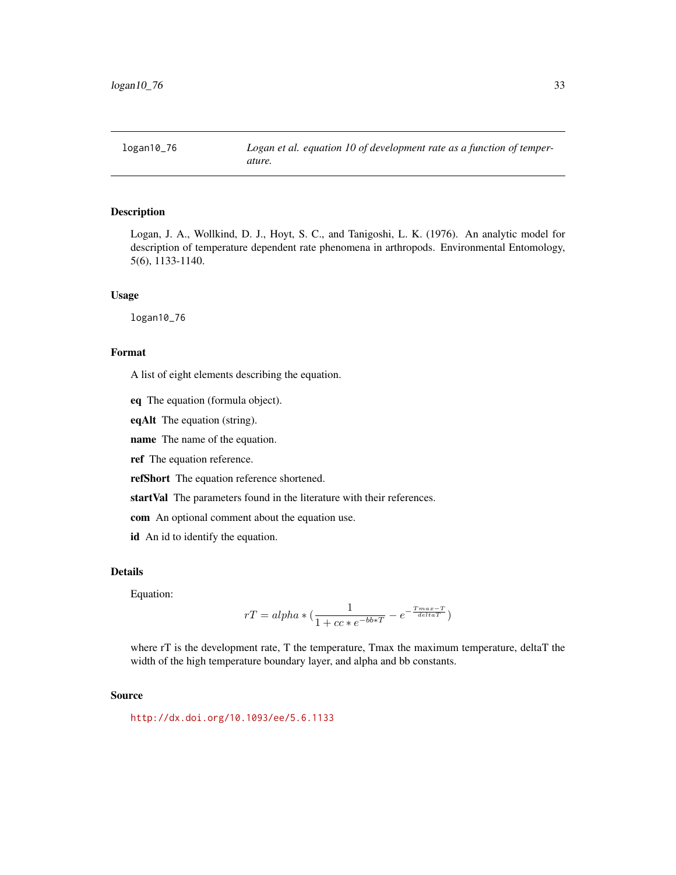<span id="page-32-0"></span>

Logan, J. A., Wollkind, D. J., Hoyt, S. C., and Tanigoshi, L. K. (1976). An analytic model for description of temperature dependent rate phenomena in arthropods. Environmental Entomology, 5(6), 1133-1140.

#### Usage

logan10\_76

# Format

A list of eight elements describing the equation.

eq The equation (formula object).

eqAlt The equation (string).

name The name of the equation.

ref The equation reference.

refShort The equation reference shortened.

startVal The parameters found in the literature with their references.

com An optional comment about the equation use.

id An id to identify the equation.

## Details

Equation:

$$
rT = alpha * (\frac{1}{1 + cc * e^{-bb * T}} - e^{-\frac{Tmax-T}{delta T}})
$$

where rT is the development rate, T the temperature, Tmax the maximum temperature, deltaT the width of the high temperature boundary layer, and alpha and bb constants.

#### Source

<http://dx.doi.org/10.1093/ee/5.6.1133>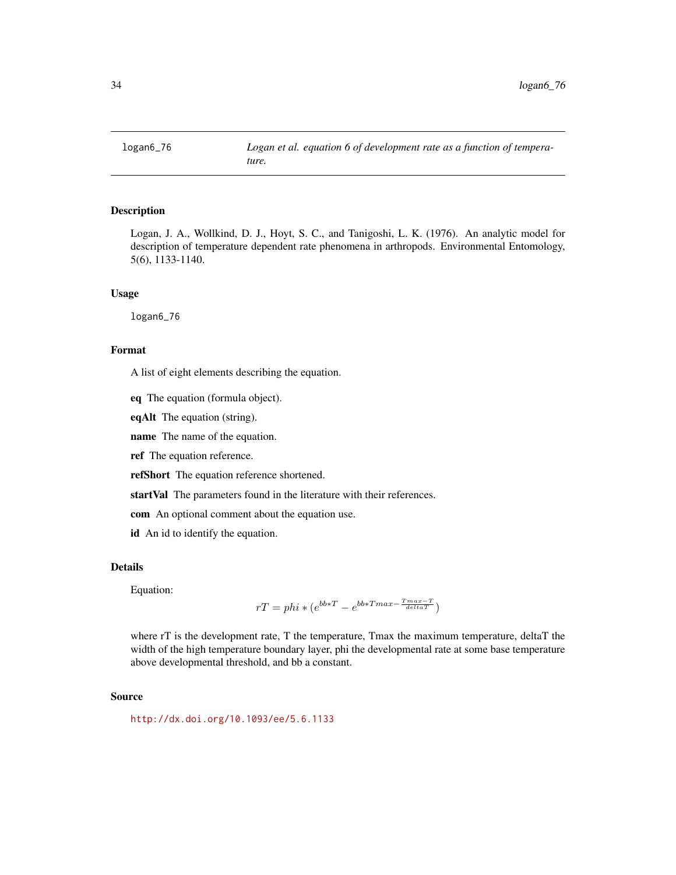<span id="page-33-0"></span>

Logan, J. A., Wollkind, D. J., Hoyt, S. C., and Tanigoshi, L. K. (1976). An analytic model for description of temperature dependent rate phenomena in arthropods. Environmental Entomology, 5(6), 1133-1140.

#### Usage

logan6\_76

#### Format

A list of eight elements describing the equation.

eq The equation (formula object).

eqAlt The equation (string).

name The name of the equation.

ref The equation reference.

refShort The equation reference shortened.

startVal The parameters found in the literature with their references.

com An optional comment about the equation use.

id An id to identify the equation.

### Details

Equation:

$$
rT = phi * (e^{bb * T} - e^{bb * Tmax - \frac{Tmax - T}{delta T}})
$$

where rT is the development rate, T the temperature, Tmax the maximum temperature, deltaT the width of the high temperature boundary layer, phi the developmental rate at some base temperature above developmental threshold, and bb a constant.

#### Source

<http://dx.doi.org/10.1093/ee/5.6.1133>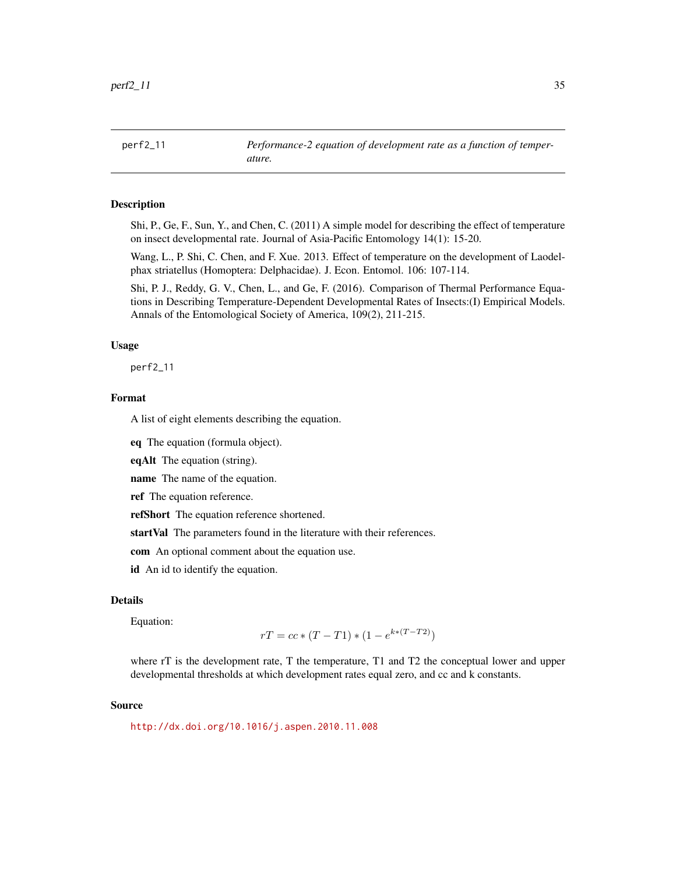<span id="page-34-0"></span>Shi, P., Ge, F., Sun, Y., and Chen, C. (2011) A simple model for describing the effect of temperature on insect developmental rate. Journal of Asia-Pacific Entomology 14(1): 15-20.

Wang, L., P. Shi, C. Chen, and F. Xue. 2013. Effect of temperature on the development of Laodelphax striatellus (Homoptera: Delphacidae). J. Econ. Entomol. 106: 107-114.

Shi, P. J., Reddy, G. V., Chen, L., and Ge, F. (2016). Comparison of Thermal Performance Equations in Describing Temperature-Dependent Developmental Rates of Insects:(I) Empirical Models. Annals of the Entomological Society of America, 109(2), 211-215.

#### Usage

perf2\_11

# Format

A list of eight elements describing the equation.

eq The equation (formula object).

eqAlt The equation (string).

name The name of the equation.

ref The equation reference.

refShort The equation reference shortened.

startVal The parameters found in the literature with their references.

com An optional comment about the equation use.

id An id to identify the equation.

#### Details

Equation:

$$
rT = cc * (T - T1) * (1 - e^{k * (T - T2)})
$$

where rT is the development rate, T the temperature, T1 and T2 the conceptual lower and upper developmental thresholds at which development rates equal zero, and cc and k constants.

#### Source

<http://dx.doi.org/10.1016/j.aspen.2010.11.008>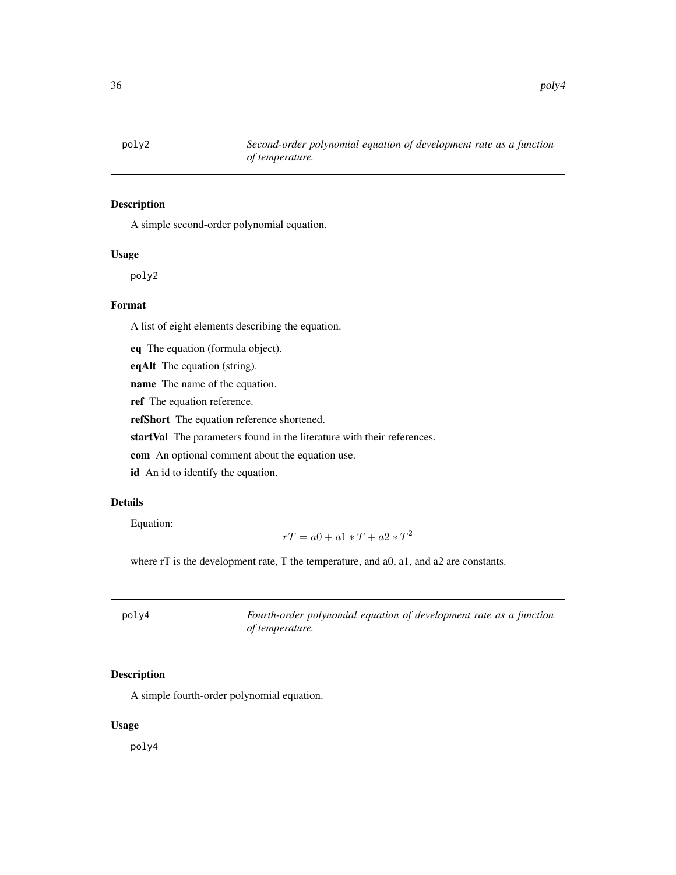<span id="page-35-0"></span>

A simple second-order polynomial equation.

## Usage

poly2

# Format

A list of eight elements describing the equation.

eq The equation (formula object).

eqAlt The equation (string).

name The name of the equation.

ref The equation reference.

refShort The equation reference shortened.

startVal The parameters found in the literature with their references.

com An optional comment about the equation use.

id An id to identify the equation.

# Details

Equation:

$$
rT = a0 + a1 \times T + a2 \times T^2
$$

where rT is the development rate, T the temperature, and a0, a1, and a2 are constants.

| poly4 | Fourth-order polynomial equation of development rate as a function |
|-------|--------------------------------------------------------------------|
|       | of temperature.                                                    |

# Description

A simple fourth-order polynomial equation.

#### Usage

poly4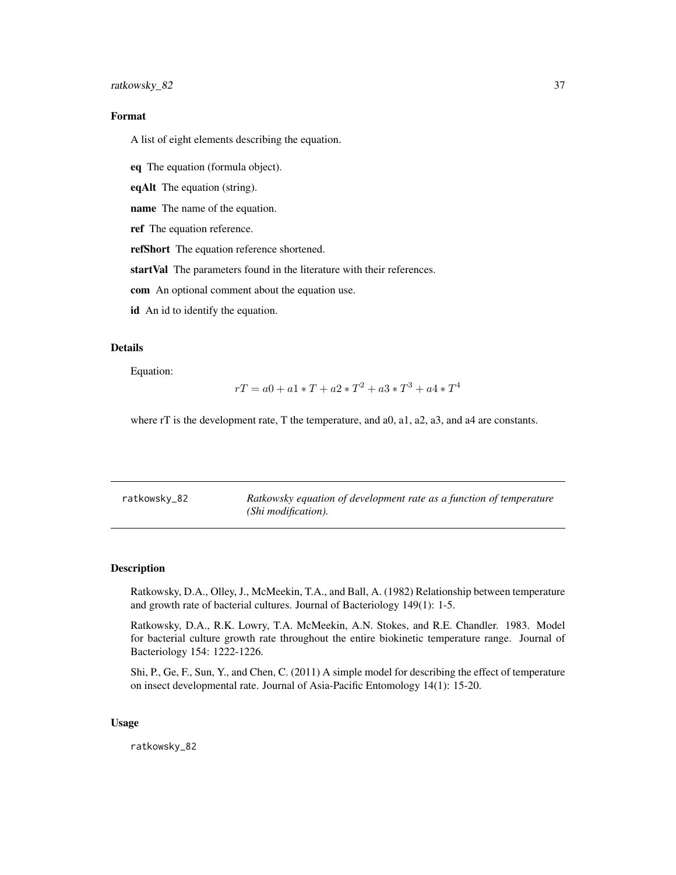## <span id="page-36-0"></span>ratkowsky\_82 37

# Format

A list of eight elements describing the equation.

eq The equation (formula object).

eqAlt The equation (string).

name The name of the equation.

ref The equation reference.

refShort The equation reference shortened.

startVal The parameters found in the literature with their references.

com An optional comment about the equation use.

id An id to identify the equation.

## Details

Equation:

$$
rT=a0+a1*T+a2*T^2+a3*T^3+a4*T^4\\
$$

where rT is the development rate, T the temperature, and a0, a1, a2, a3, and a4 are constants.

| ratkowsky_82 | Ratkowsky equation of development rate as a function of temperature |
|--------------|---------------------------------------------------------------------|
|              | (Shi modification).                                                 |

#### Description

Ratkowsky, D.A., Olley, J., McMeekin, T.A., and Ball, A. (1982) Relationship between temperature and growth rate of bacterial cultures. Journal of Bacteriology 149(1): 1-5.

Ratkowsky, D.A., R.K. Lowry, T.A. McMeekin, A.N. Stokes, and R.E. Chandler. 1983. Model for bacterial culture growth rate throughout the entire biokinetic temperature range. Journal of Bacteriology 154: 1222-1226.

Shi, P., Ge, F., Sun, Y., and Chen, C. (2011) A simple model for describing the effect of temperature on insect developmental rate. Journal of Asia-Pacific Entomology 14(1): 15-20.

#### Usage

ratkowsky\_82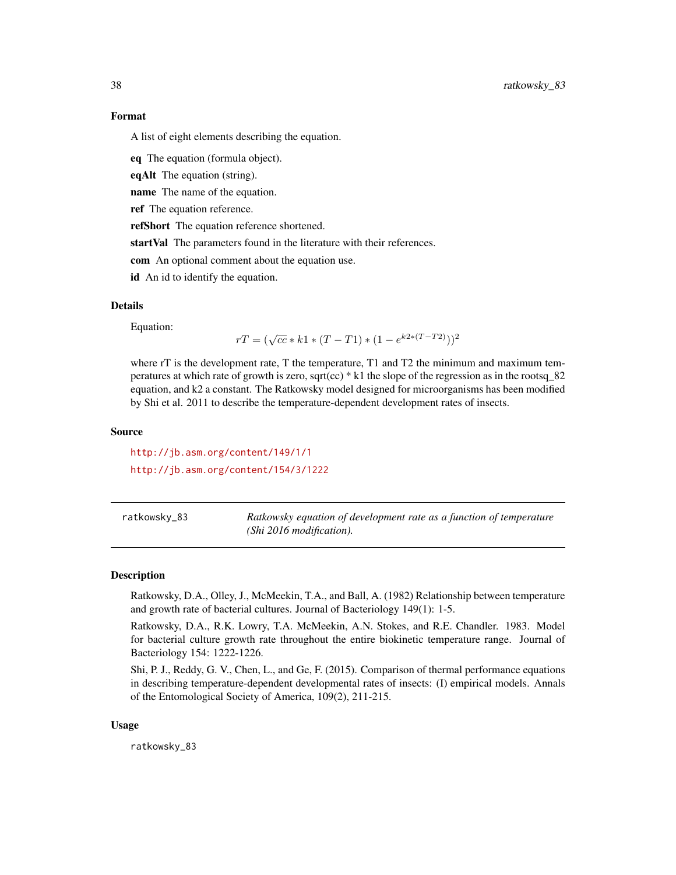A list of eight elements describing the equation.

eq The equation (formula object).

eqAlt The equation (string).

name The name of the equation.

ref The equation reference.

refShort The equation reference shortened.

startVal The parameters found in the literature with their references.

com An optional comment about the equation use.

id An id to identify the equation.

#### Details

Equation:

$$
rT = (\sqrt{cc} * k1 * (T - T1) * (1 - e^{k2 * (T - T2)}))^2
$$

where rT is the development rate, T the temperature, T1 and T2 the minimum and maximum temperatures at which rate of growth is zero, sqrt(cc) \* k1 the slope of the regression as in the rootsq\_82 equation, and k2 a constant. The Ratkowsky model designed for microorganisms has been modified by Shi et al. 2011 to describe the temperature-dependent development rates of insects.

## Source

<http://jb.asm.org/content/149/1/1> <http://jb.asm.org/content/154/3/1222>

ratkowsky\_83 *Ratkowsky equation of development rate as a function of temperature (Shi 2016 modification).*

#### Description

Ratkowsky, D.A., Olley, J., McMeekin, T.A., and Ball, A. (1982) Relationship between temperature and growth rate of bacterial cultures. Journal of Bacteriology 149(1): 1-5.

Ratkowsky, D.A., R.K. Lowry, T.A. McMeekin, A.N. Stokes, and R.E. Chandler. 1983. Model for bacterial culture growth rate throughout the entire biokinetic temperature range. Journal of Bacteriology 154: 1222-1226.

Shi, P. J., Reddy, G. V., Chen, L., and Ge, F. (2015). Comparison of thermal performance equations in describing temperature-dependent developmental rates of insects: (I) empirical models. Annals of the Entomological Society of America, 109(2), 211-215.

#### Usage

ratkowsky\_83

<span id="page-37-0"></span>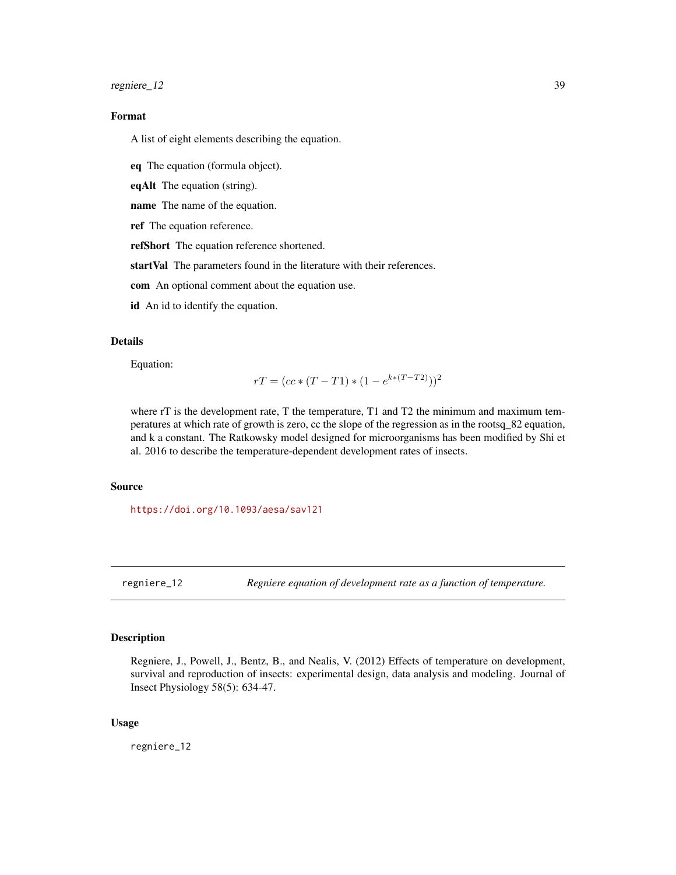<span id="page-38-0"></span>regniere\_12 39

# Format

A list of eight elements describing the equation.

eq The equation (formula object).

eqAlt The equation (string).

name The name of the equation.

ref The equation reference.

refShort The equation reference shortened.

startVal The parameters found in the literature with their references.

com An optional comment about the equation use.

id An id to identify the equation.

## Details

Equation:

$$
rT = (cc * (T - T1) * (1 - e^{k * (T - T2)}))^2
$$

where rT is the development rate, T the temperature, T1 and T2 the minimum and maximum temperatures at which rate of growth is zero, cc the slope of the regression as in the rootsq\_82 equation, and k a constant. The Ratkowsky model designed for microorganisms has been modified by Shi et al. 2016 to describe the temperature-dependent development rates of insects.

#### Source

<https://doi.org/10.1093/aesa/sav121>

regniere\_12 *Regniere equation of development rate as a function of temperature.*

# Description

Regniere, J., Powell, J., Bentz, B., and Nealis, V. (2012) Effects of temperature on development, survival and reproduction of insects: experimental design, data analysis and modeling. Journal of Insect Physiology 58(5): 634-47.

#### Usage

regniere\_12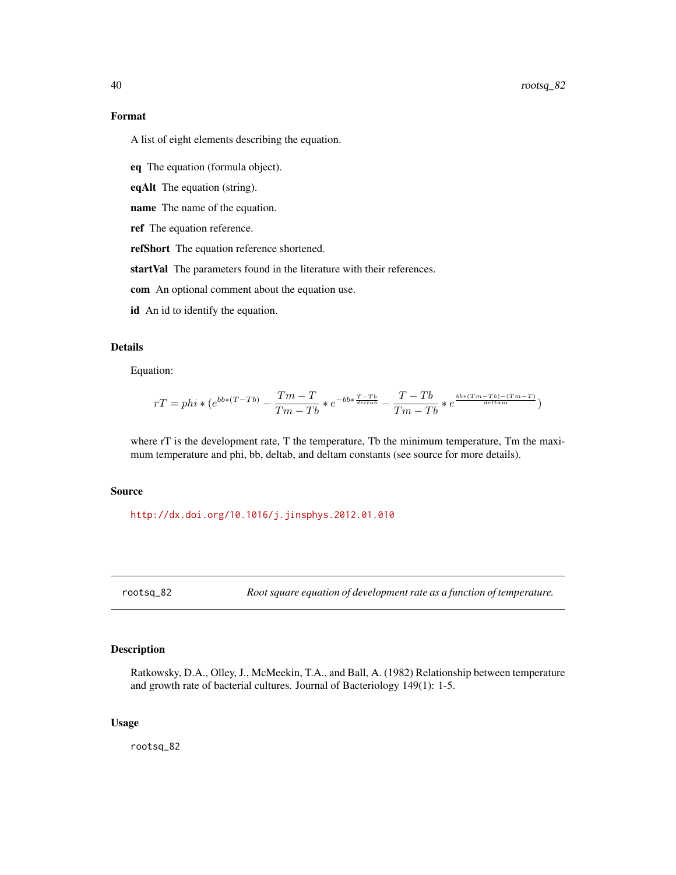A list of eight elements describing the equation.

eq The equation (formula object).

eqAlt The equation (string).

name The name of the equation.

ref The equation reference.

refShort The equation reference shortened.

startVal The parameters found in the literature with their references.

com An optional comment about the equation use.

id An id to identify the equation.

# Details

Equation:

$$
rT = phi * (e^{bb * (T-Tb)} - \frac{Tm-T}{Tm-Tb} * e^{-bb * \frac{T-Tb}{delta}} - \frac{T-Tb}{Tm-Tb} * e^{\frac{bb * (Tm-Tb)-(Tm-T)}{delta}})
$$

where rT is the development rate, T the temperature, Tb the minimum temperature, Tm the maximum temperature and phi, bb, deltab, and deltam constants (see source for more details).

#### Source

<http://dx.doi.org/10.1016/j.jinsphys.2012.01.010>

rootsq\_82 *Root square equation of development rate as a function of temperature.*

# Description

Ratkowsky, D.A., Olley, J., McMeekin, T.A., and Ball, A. (1982) Relationship between temperature and growth rate of bacterial cultures. Journal of Bacteriology 149(1): 1-5.

#### Usage

rootsq\_82

<span id="page-39-0"></span>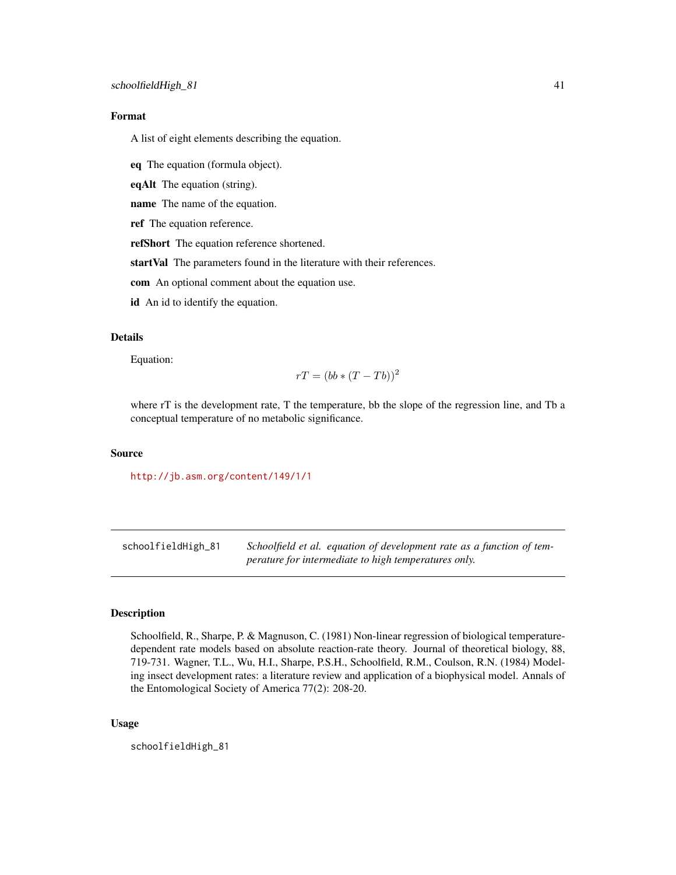<span id="page-40-0"></span>A list of eight elements describing the equation.

eq The equation (formula object).

eqAlt The equation (string).

name The name of the equation.

ref The equation reference.

refShort The equation reference shortened.

startVal The parameters found in the literature with their references.

com An optional comment about the equation use.

id An id to identify the equation.

# Details

Equation:

$$
rT = (bb * (T - Tb))^2
$$

where rT is the development rate, T the temperature, bb the slope of the regression line, and Tb a conceptual temperature of no metabolic significance.

#### Source

<http://jb.asm.org/content/149/1/1>

schoolfieldHigh\_81 *Schoolfield et al. equation of development rate as a function of temperature for intermediate to high temperatures only.*

# **Description**

Schoolfield, R., Sharpe, P. & Magnuson, C. (1981) Non-linear regression of biological temperaturedependent rate models based on absolute reaction-rate theory. Journal of theoretical biology, 88, 719-731. Wagner, T.L., Wu, H.I., Sharpe, P.S.H., Schoolfield, R.M., Coulson, R.N. (1984) Modeling insect development rates: a literature review and application of a biophysical model. Annals of the Entomological Society of America 77(2): 208-20.

#### Usage

schoolfieldHigh\_81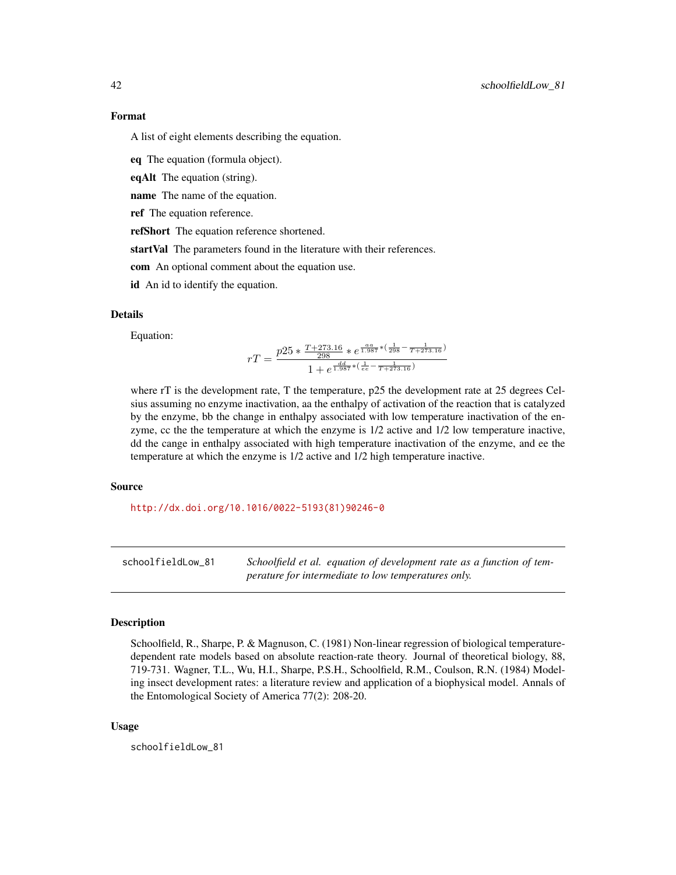<span id="page-41-0"></span>A list of eight elements describing the equation.

eq The equation (formula object).

eqAlt The equation (string).

name The name of the equation.

ref The equation reference.

refShort The equation reference shortened.

startVal The parameters found in the literature with their references.

com An optional comment about the equation use.

id An id to identify the equation.

## Details

Equation:

$$
rT = \frac{p25 * \frac{T + 273.16}{298} * e^{\frac{a a}{1.987} * (\frac{1}{298} - \frac{1}{T + 273.16})}}{1 + e^{\frac{d d}{1.987} * (\frac{1}{e e} - \frac{1}{T + 273.16})}}
$$

where rT is the development rate, T the temperature, p25 the development rate at 25 degrees Celsius assuming no enzyme inactivation, aa the enthalpy of activation of the reaction that is catalyzed by the enzyme, bb the change in enthalpy associated with low temperature inactivation of the enzyme, cc the the temperature at which the enzyme is 1/2 active and 1/2 low temperature inactive, dd the cange in enthalpy associated with high temperature inactivation of the enzyme, and ee the temperature at which the enzyme is 1/2 active and 1/2 high temperature inactive.

#### Source

[http://dx.doi.org/10.1016/0022-5193\(81\)90246-0](http://dx.doi.org/10.1016/0022-5193(81)90246-0)

schoolfieldLow\_81 *Schoolfield et al. equation of development rate as a function of temperature for intermediate to low temperatures only.*

#### Description

Schoolfield, R., Sharpe, P. & Magnuson, C. (1981) Non-linear regression of biological temperaturedependent rate models based on absolute reaction-rate theory. Journal of theoretical biology, 88, 719-731. Wagner, T.L., Wu, H.I., Sharpe, P.S.H., Schoolfield, R.M., Coulson, R.N. (1984) Modeling insect development rates: a literature review and application of a biophysical model. Annals of the Entomological Society of America 77(2): 208-20.

#### Usage

schoolfieldLow\_81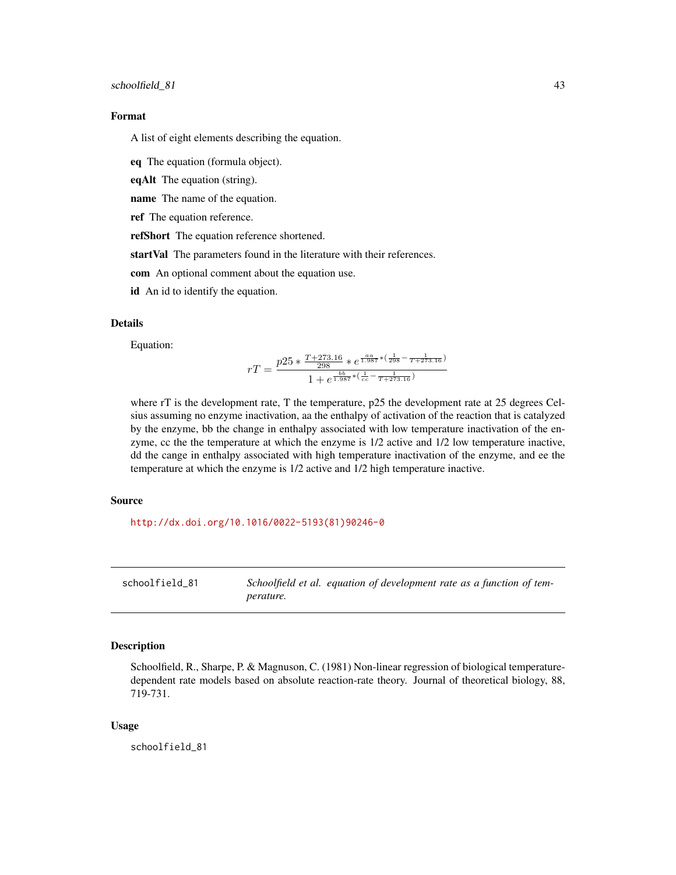<span id="page-42-0"></span>A list of eight elements describing the equation.

eq The equation (formula object).

eqAlt The equation (string).

name The name of the equation.

ref The equation reference.

refShort The equation reference shortened.

startVal The parameters found in the literature with their references.

com An optional comment about the equation use.

id An id to identify the equation.

#### Details

Equation:

$$
rT = \frac{p25 * \frac{T + 273.16}{298} * e^{\frac{a a}{1.987} * (\frac{1}{298} - \frac{1}{T + 273.16})}}{1 + e^{\frac{b b}{1.987} * (\frac{1}{c c} - \frac{1}{T + 273.16})}}
$$

where rT is the development rate, T the temperature, p25 the development rate at 25 degrees Celsius assuming no enzyme inactivation, aa the enthalpy of activation of the reaction that is catalyzed by the enzyme, bb the change in enthalpy associated with low temperature inactivation of the enzyme, cc the the temperature at which the enzyme is 1/2 active and 1/2 low temperature inactive, dd the cange in enthalpy associated with high temperature inactivation of the enzyme, and ee the temperature at which the enzyme is 1/2 active and 1/2 high temperature inactive.

#### Source

[http://dx.doi.org/10.1016/0022-5193\(81\)90246-0](http://dx.doi.org/10.1016/0022-5193(81)90246-0)

schoolfield\_81 *Schoolfield et al. equation of development rate as a function of temperature.*

#### Description

Schoolfield, R., Sharpe, P. & Magnuson, C. (1981) Non-linear regression of biological temperaturedependent rate models based on absolute reaction-rate theory. Journal of theoretical biology, 88, 719-731.

#### Usage

schoolfield\_81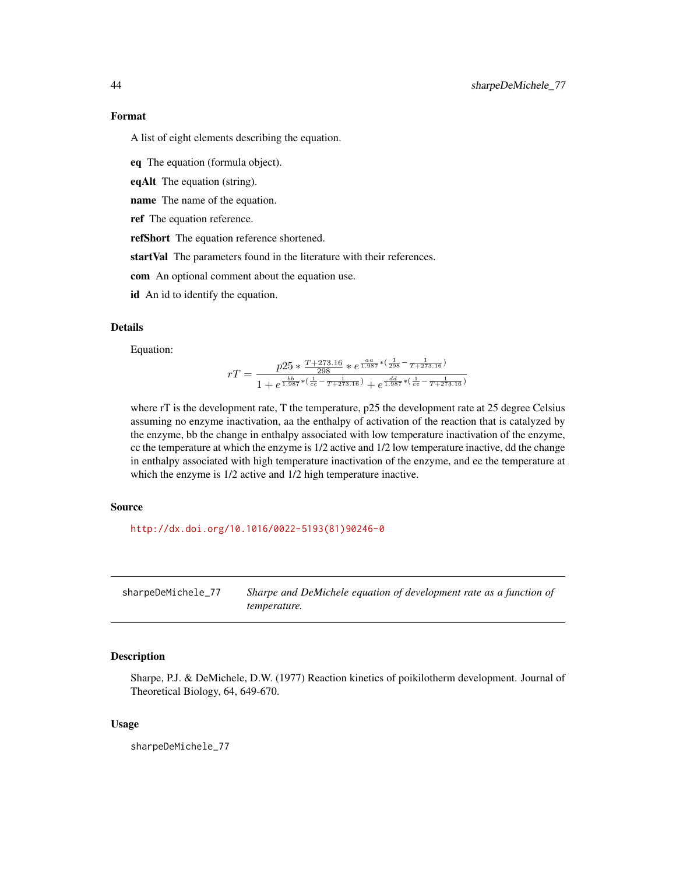<span id="page-43-0"></span>A list of eight elements describing the equation.

eq The equation (formula object).

eqAlt The equation (string).

name The name of the equation.

ref The equation reference.

refShort The equation reference shortened.

startVal The parameters found in the literature with their references.

com An optional comment about the equation use.

id An id to identify the equation.

# Details

Equation:

$$
rT=\frac{p25*\frac{T+273.16}{298} *e^{\frac{a a}{1.987} *(\frac{1}{298}-\frac{1}{T+273.16})}}{1+e^{\frac{b b}{1.987} *(\frac{1}{cc}-\frac{1}{T+273.16})}+e^{\frac{d d}{1.987} *(\frac{1}{cc}-\frac{1}{T+273.16})}}
$$

where rT is the development rate, T the temperature, p25 the development rate at 25 degree Celsius assuming no enzyme inactivation, aa the enthalpy of activation of the reaction that is catalyzed by the enzyme, bb the change in enthalpy associated with low temperature inactivation of the enzyme, cc the temperature at which the enzyme is 1/2 active and 1/2 low temperature inactive, dd the change in enthalpy associated with high temperature inactivation of the enzyme, and ee the temperature at which the enzyme is 1/2 active and 1/2 high temperature inactive.

#### Source

[http://dx.doi.org/10.1016/0022-5193\(81\)90246-0](http://dx.doi.org/10.1016/0022-5193(81)90246-0)

sharpeDeMichele\_77 *Sharpe and DeMichele equation of development rate as a function of temperature.*

# Description

Sharpe, P.J. & DeMichele, D.W. (1977) Reaction kinetics of poikilotherm development. Journal of Theoretical Biology, 64, 649-670.

#### Usage

sharpeDeMichele\_77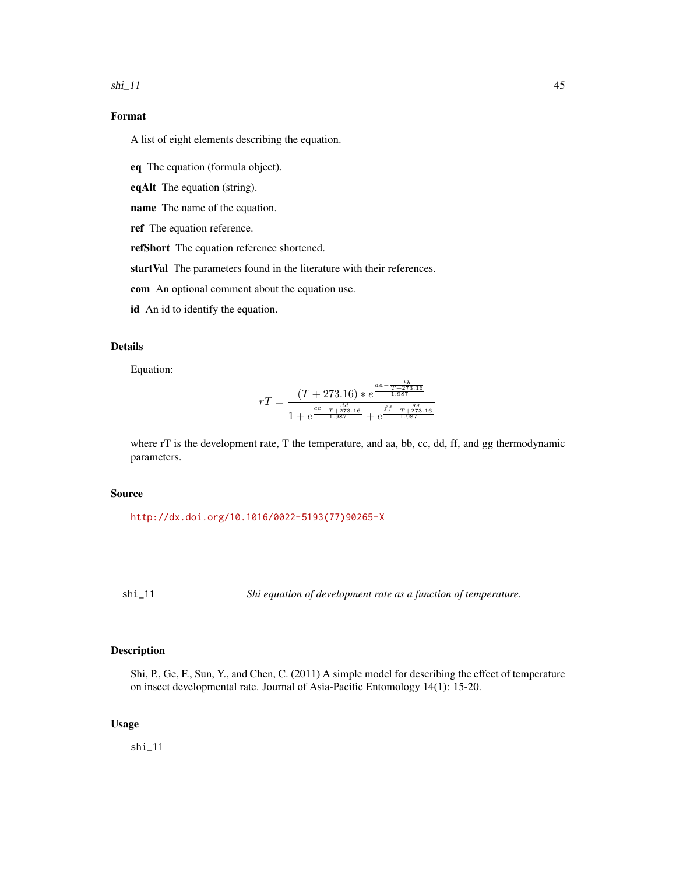<span id="page-44-0"></span> $\sin 11$  45

# Format

A list of eight elements describing the equation.

eq The equation (formula object).

eqAlt The equation (string).

name The name of the equation.

ref The equation reference.

refShort The equation reference shortened.

startVal The parameters found in the literature with their references.

com An optional comment about the equation use.

id An id to identify the equation.

# Details

Equation:

$$
rT = \frac{(T+273.16)*e^{\frac{aa-\frac{bb}{T+273.16}}{1.987}}}{1+e^{\frac{cc-\frac{rd}{T+273.16}}{1.987}}+e^{\frac{ff-\frac{gg}{T+273.16}}{1.987}}}
$$

where rT is the development rate, T the temperature, and aa, bb, cc, dd, ff, and gg thermodynamic parameters.

# Source

[http://dx.doi.org/10.1016/0022-5193\(77\)90265-X](http://dx.doi.org/10.1016/0022-5193(77)90265-X)

shi\_11 *Shi equation of development rate as a function of temperature.*

# Description

Shi, P., Ge, F., Sun, Y., and Chen, C. (2011) A simple model for describing the effect of temperature on insect developmental rate. Journal of Asia-Pacific Entomology 14(1): 15-20.

## Usage

shi\_11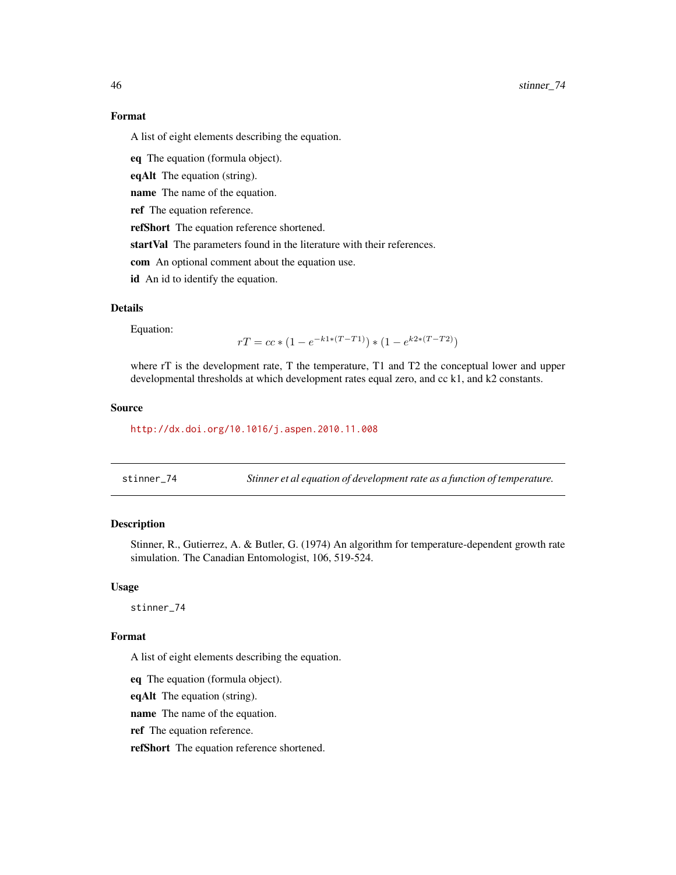<span id="page-45-0"></span>A list of eight elements describing the equation.

eq The equation (formula object).

eqAlt The equation (string).

name The name of the equation.

ref The equation reference.

refShort The equation reference shortened.

startVal The parameters found in the literature with their references.

com An optional comment about the equation use.

id An id to identify the equation.

# Details

Equation:

$$
rT = cc * (1 - e^{-k1 * (T - T1)}) * (1 - e^{k2 * (T - T2)})
$$

where rT is the development rate, T the temperature, T1 and T2 the conceptual lower and upper developmental thresholds at which development rates equal zero, and cc k1, and k2 constants.

#### Source

<http://dx.doi.org/10.1016/j.aspen.2010.11.008>

stinner\_74 *Stinner et al equation of development rate as a function of temperature.*

## Description

Stinner, R., Gutierrez, A. & Butler, G. (1974) An algorithm for temperature-dependent growth rate simulation. The Canadian Entomologist, 106, 519-524.

#### Usage

stinner\_74

## Format

A list of eight elements describing the equation.

eq The equation (formula object).

eqAlt The equation (string).

name The name of the equation.

ref The equation reference.

refShort The equation reference shortened.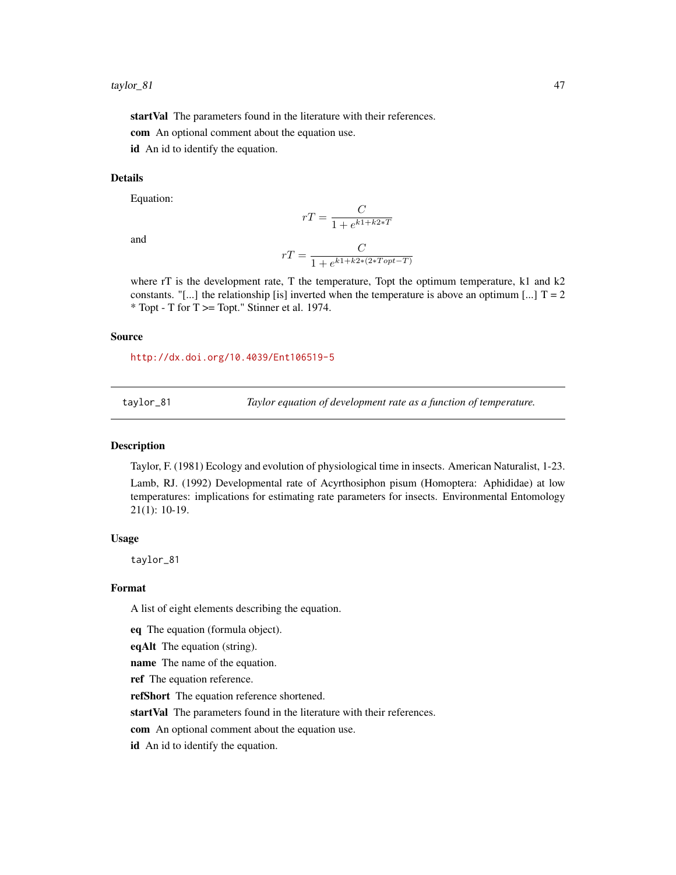<span id="page-46-0"></span>startVal The parameters found in the literature with their references.

com An optional comment about the equation use.

id An id to identify the equation.

#### Details

Equation:

and

$$
rT = \frac{C}{1 + e^{k1 + k2*T}}
$$

$$
rT = \frac{C}{1 + e^{k1 + k2*(2*Topt - T)}}
$$

where  $rT$  is the development rate, T the temperature, Topt the optimum temperature, k1 and k2 constants. "[...] the relationship [is] inverted when the temperature is above an optimum [...]  $T = 2$ \* Topt - T for T >= Topt." Stinner et al. 1974.

#### Source

<http://dx.doi.org/10.4039/Ent106519-5>

taylor\_81 *Taylor equation of development rate as a function of temperature.*

#### Description

Taylor, F. (1981) Ecology and evolution of physiological time in insects. American Naturalist, 1-23.

Lamb, RJ. (1992) Developmental rate of Acyrthosiphon pisum (Homoptera: Aphididae) at low temperatures: implications for estimating rate parameters for insects. Environmental Entomology 21(1): 10-19.

#### Usage

taylor\_81

#### Format

A list of eight elements describing the equation.

eq The equation (formula object).

eqAlt The equation (string).

name The name of the equation.

ref The equation reference.

refShort The equation reference shortened.

startVal The parameters found in the literature with their references.

com An optional comment about the equation use.

id An id to identify the equation.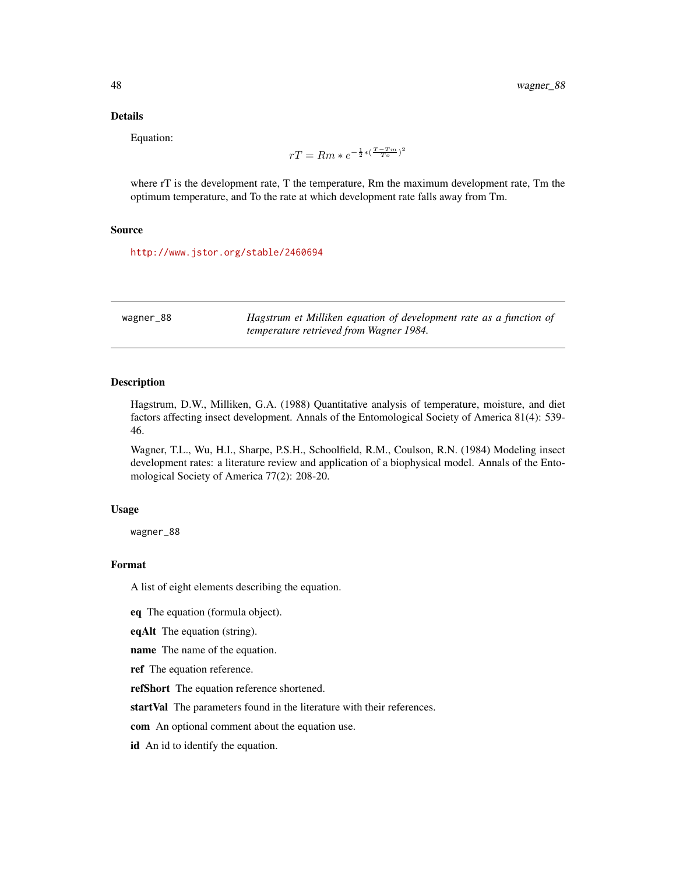## Details

Equation:

$$
rT = Rm * e^{-\frac{1}{2} * (\frac{T - Tm}{T_o})^2}
$$

where rT is the development rate, T the temperature, Rm the maximum development rate, Tm the optimum temperature, and To the rate at which development rate falls away from Tm.

#### Source

<http://www.jstor.org/stable/2460694>

| wagner_88 | Hagstrum et Milliken equation of development rate as a function of |
|-----------|--------------------------------------------------------------------|
|           | temperature retrieved from Wagner 1984.                            |

# Description

Hagstrum, D.W., Milliken, G.A. (1988) Quantitative analysis of temperature, moisture, and diet factors affecting insect development. Annals of the Entomological Society of America 81(4): 539- 46.

Wagner, T.L., Wu, H.I., Sharpe, P.S.H., Schoolfield, R.M., Coulson, R.N. (1984) Modeling insect development rates: a literature review and application of a biophysical model. Annals of the Entomological Society of America 77(2): 208-20.

#### Usage

wagner\_88

# Format

A list of eight elements describing the equation.

eq The equation (formula object).

eqAlt The equation (string).

name The name of the equation.

ref The equation reference.

refShort The equation reference shortened.

startVal The parameters found in the literature with their references.

com An optional comment about the equation use.

id An id to identify the equation.

<span id="page-47-0"></span>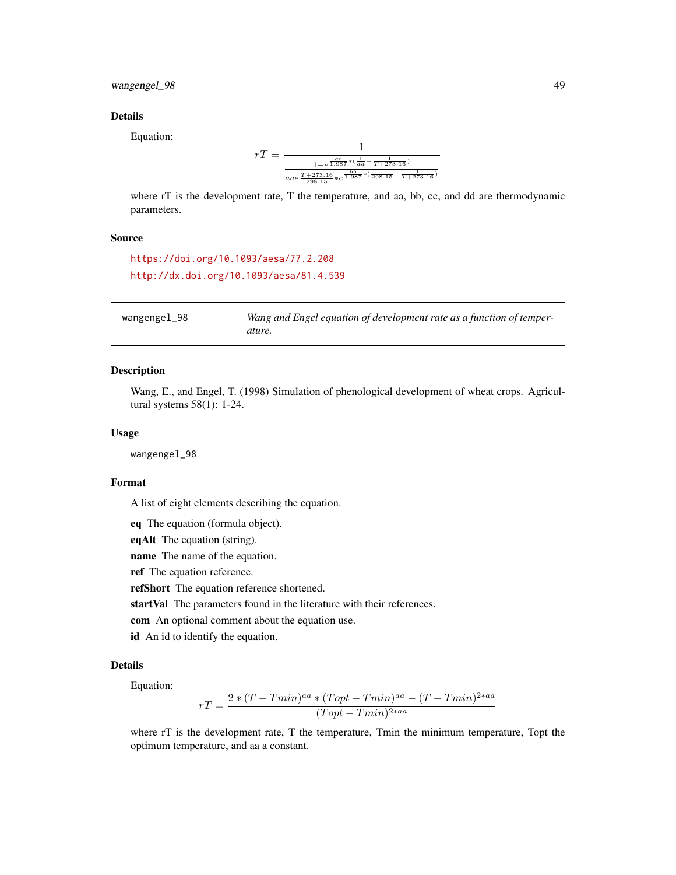# <span id="page-48-0"></span>wangengel\_98 49

## Details

Equation:

$$
rT=\frac{1}{\frac{1+e^{\frac{c\sigma}{1.987}*(\frac{1}{dd}-\frac{1}{T+273.16})}}{aa*\frac{T+273.16}{298.15}*\frac{bb}{e}^{\frac{1}{1.987}*(\frac{1}{298.15}-\frac{1}{T+273.16})}}
$$

where rT is the development rate, T the temperature, and aa, bb, cc, and dd are thermodynamic parameters.

#### Source

```
https://doi.org/10.1093/aesa/77.2.208
http://dx.doi.org/10.1093/aesa/81.4.539
```

| wangengel_98 | Wang and Engel equation of development rate as a function of temper- |
|--------------|----------------------------------------------------------------------|
|              | ature.                                                               |

# Description

Wang, E., and Engel, T. (1998) Simulation of phenological development of wheat crops. Agricultural systems 58(1): 1-24.

#### Usage

wangengel\_98

#### Format

A list of eight elements describing the equation.

eq The equation (formula object).

eqAlt The equation (string).

name The name of the equation.

ref The equation reference.

refShort The equation reference shortened.

startVal The parameters found in the literature with their references.

com An optional comment about the equation use.

id An id to identify the equation.

#### Details

Equation:

$$
rT = \frac{2 * (T - Tmin)^{aa} * (Topt - Tmin)^{aa} - (T - Tmin)^{2 * aa}}{(Topt - Tmin)^{2 * aa}}
$$

where rT is the development rate, T the temperature, Tmin the minimum temperature, Topt the optimum temperature, and aa a constant.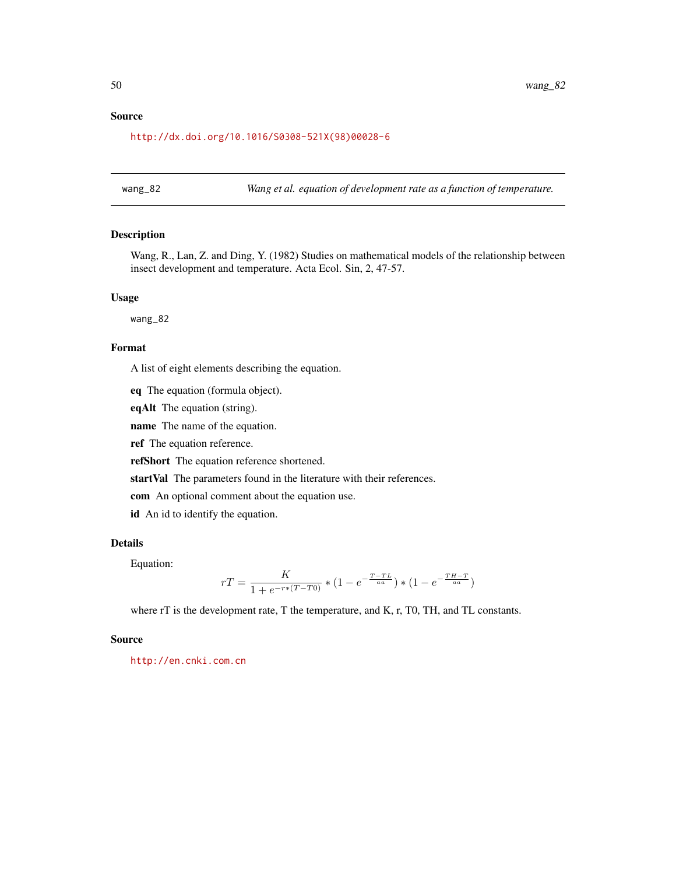# <span id="page-49-0"></span>Source

[http://dx.doi.org/10.1016/S0308-521X\(98\)00028-6](http://dx.doi.org/10.1016/S0308-521X(98)00028-6)

wang\_82 *Wang et al. equation of development rate as a function of temperature.*

## Description

Wang, R., Lan, Z. and Ding, Y. (1982) Studies on mathematical models of the relationship between insect development and temperature. Acta Ecol. Sin, 2, 47-57.

# Usage

wang\_82

## Format

A list of eight elements describing the equation.

eq The equation (formula object).

eqAlt The equation (string).

name The name of the equation.

ref The equation reference.

refShort The equation reference shortened.

startVal The parameters found in the literature with their references.

com An optional comment about the equation use.

id An id to identify the equation.

## Details

Equation:

$$
rT = \frac{K}{1 + e^{-r*(T-T0)}} * (1 - e^{-\frac{T-TL}{aa}}) * (1 - e^{-\frac{TH-T}{aa}})
$$

where rT is the development rate, T the temperature, and K, r, T0, TH, and TL constants.

## Source

<http://en.cnki.com.cn>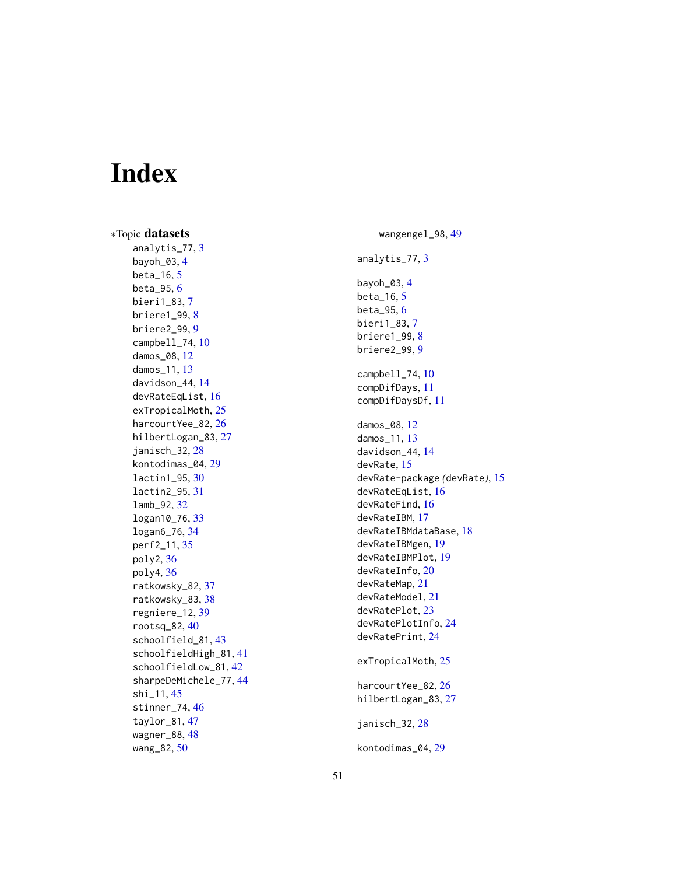# <span id="page-50-0"></span>Index

∗Topic datasets analytis\_77 , [3](#page-2-0) bayoh\_03 , [4](#page-3-0) beta\_16 , [5](#page-4-0) beta\_95 , [6](#page-5-0) bieri1\_83 , [7](#page-6-0) briere1\_99 , [8](#page-7-0) briere2\_99 , [9](#page-8-0) campbell\_74 , [10](#page-9-0) damos\_08 , [12](#page-11-0) damos\_11 , [13](#page-12-0) davidson\_44 , [14](#page-13-0) devRateEqList , [16](#page-15-0) exTropicalMoth, [25](#page-24-0) harcourtYee\_82 , [26](#page-25-0) hilbertLogan\_83 , [27](#page-26-0) janisch\_32 , [28](#page-27-0) kontodimas\_04 , [29](#page-28-0) lactin1\_95 , [30](#page-29-0) lactin2\_95 , [31](#page-30-0) lamb\_92 , [32](#page-31-0) logan10\_76 , [33](#page-32-0) logan6\_76 , [34](#page-33-0) perf2\_11 , [35](#page-34-0) poly2 , [36](#page-35-0) poly4 , [36](#page-35-0) ratkowsky\_82, [37](#page-36-0) ratkowsky\_83 , [38](#page-37-0) regniere\_12 , [39](#page-38-0) rootsq\_82 , [40](#page-39-0) schoolfield\_81 , [43](#page-42-0) schoolfieldHigh\_81 , [41](#page-40-0) schoolfieldLow\_81 , [42](#page-41-0) sharpeDeMichele\_77 , [44](#page-43-0) shi\_11, [45](#page-44-0) stinner\_74 , [46](#page-45-0) taylor\_81 , [47](#page-46-0) wagner\_88, [48](#page-47-0) wang\_82, <mark>5</mark>0

wangengel\_98 , [49](#page-48-0) analytis\_77 , [3](#page-2-0) bayoh\_03 , [4](#page-3-0) beta\_16 , [5](#page-4-0) beta\_95,[6](#page-5-0) bieri1\_83 , [7](#page-6-0) briere1\_99,[8](#page-7-0) briere2\_99 , [9](#page-8-0) campbell\_74, [10](#page-9-0) compDifDays , [11](#page-10-0) compDifDaysDf , [11](#page-10-0) damos\_08 , [12](#page-11-0) damos\_11 , [13](#page-12-0) davidson\_44 , [14](#page-13-0) devRate , [15](#page-14-0) devRate-package *(*devRate *)* , [15](#page-14-0) devRateEqList , [16](#page-15-0) devRateFind , [16](#page-15-0) devRateIBM , [17](#page-16-0) devRateIBMdataBase , [18](#page-17-0) devRateIBMgen , [19](#page-18-0) devRateIBMPlot , [19](#page-18-0) devRateInfo, [20](#page-19-0) devRateMap , [21](#page-20-0) devRateModel , [21](#page-20-0) devRatePlot, [23](#page-22-0) devRatePlotInfo , [24](#page-23-0) devRatePrint , [24](#page-23-0) exTropicalMoth, [25](#page-24-0) harcourtYee\_82 , [26](#page-25-0) hilbertLogan\_83 , [27](#page-26-0) janisch\_32 , [28](#page-27-0) kontodimas\_04 , [29](#page-28-0)